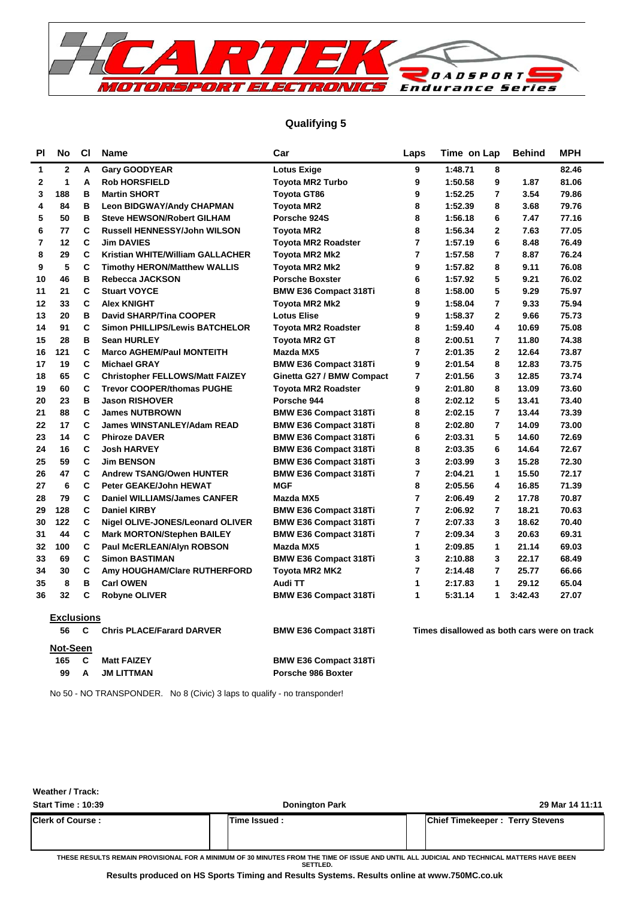

## **Qualifying 5**

| ΡI | No                | <b>CI</b> | <b>Name</b>                            | Car                          | Laps                    | Time on Lap                                 | <b>Behind</b> | <b>MPH</b> |
|----|-------------------|-----------|----------------------------------------|------------------------------|-------------------------|---------------------------------------------|---------------|------------|
| 1  | 2                 | А         | <b>Gary GOODYEAR</b>                   | <b>Lotus Exige</b>           | 9                       | 1:48.71<br>8                                |               | 82.46      |
| 2  | $\mathbf{1}$      | A         | <b>Rob HORSFIELD</b>                   | <b>Toyota MR2 Turbo</b>      | 9                       | 1:50.58<br>9                                | 1.87          | 81.06      |
| 3  | 188               | в         | <b>Martin SHORT</b>                    | Toyota GT86                  | 9                       | $\overline{7}$<br>1:52.25                   | 3.54          | 79.86      |
| 4  | 84                | в         | <b>Leon BIDGWAY/Andy CHAPMAN</b>       | Toyota MR2                   | 8                       | 1:52.39<br>8                                | 3.68          | 79.76      |
| 5  | 50                | В         | <b>Steve HEWSON/Robert GILHAM</b>      | Porsche 924S                 | 8                       | 1:56.18<br>6                                | 7.47          | 77.16      |
| 6  | 77                | C         | Russell HENNESSY/John WILSON           | Toyota MR2                   | 8                       | 1:56.34<br>$\mathbf{2}$                     | 7.63          | 77.05      |
| 7  | 12                | C         | <b>Jim DAVIES</b>                      | <b>Toyota MR2 Roadster</b>   | $\overline{7}$          | 6<br>1:57.19                                | 8.48          | 76.49      |
| 8  | 29                | C         | Kristian WHITE/William GALLACHER       | <b>Toyota MR2 Mk2</b>        | $\overline{7}$          | 1:57.58<br>$\overline{7}$                   | 8.87          | 76.24      |
| 9  | 5                 | C         | <b>Timothy HERON/Matthew WALLIS</b>    | Toyota MR2 Mk2               | 9                       | 1:57.82<br>8                                | 9.11          | 76.08      |
| 10 | 46                | в         | Rebecca JACKSON                        | <b>Porsche Boxster</b>       | 6                       | 5<br>1:57.92                                | 9.21          | 76.02      |
| 11 | 21                | C         | <b>Stuart VOYCE</b>                    | <b>BMW E36 Compact 318Ti</b> | 8                       | 5<br>1:58.00                                | 9.29          | 75.97      |
| 12 | 33                | C         | <b>Alex KNIGHT</b>                     | Toyota MR2 Mk2               | 9                       | 1:58.04<br>$\overline{7}$                   | 9.33          | 75.94      |
| 13 | 20                | в         | <b>David SHARP/Tina COOPER</b>         | <b>Lotus Elise</b>           | 9                       | 1:58.37<br>$\mathbf{2}$                     | 9.66          | 75.73      |
| 14 | 91                | C         | <b>Simon PHILLIPS/Lewis BATCHELOR</b>  | <b>Toyota MR2 Roadster</b>   | 8                       | 1:59.40<br>4                                | 10.69         | 75.08      |
| 15 | 28                | B         | <b>Sean HURLEY</b>                     | Toyota MR2 GT                | 8                       | 2:00.51<br>$\overline{7}$                   | 11.80         | 74.38      |
| 16 | 121               | С         | <b>Marco AGHEM/Paul MONTEITH</b>       | Mazda MX5                    | $\overline{7}$          | 2:01.35<br>$\mathbf{2}$                     | 12.64         | 73.87      |
| 17 | 19                | C         | <b>Michael GRAY</b>                    | <b>BMW E36 Compact 318Ti</b> | 9                       | 2:01.54<br>8                                | 12.83         | 73.75      |
| 18 | 65                | C         | <b>Christopher FELLOWS/Matt FAIZEY</b> | Ginetta G27 / BMW Compact    | 7                       | 3<br>2:01.56                                | 12.85         | 73.74      |
| 19 | 60                | C         | <b>Trevor COOPER/thomas PUGHE</b>      | <b>Toyota MR2 Roadster</b>   | 9                       | 8<br>2:01.80                                | 13.09         | 73.60      |
| 20 | 23                | в         | <b>Jason RISHOVER</b>                  | Porsche 944                  | 8                       | 5<br>2:02.12                                | 13.41         | 73.40      |
| 21 | 88                | C         | <b>James NUTBROWN</b>                  | <b>BMW E36 Compact 318Ti</b> | 8                       | 2:02.15<br>$\overline{7}$                   | 13.44         | 73.39      |
| 22 | 17                | C         | <b>James WINSTANLEY/Adam READ</b>      | <b>BMW E36 Compact 318Ti</b> | 8                       | $\overline{7}$<br>2:02.80                   | 14.09         | 73.00      |
| 23 | 14                | C         | <b>Phiroze DAVER</b>                   | <b>BMW E36 Compact 318Ti</b> | 6                       | 5<br>2:03.31                                | 14.60         | 72.69      |
| 24 | 16                | C         | <b>Josh HARVEY</b>                     | <b>BMW E36 Compact 318Ti</b> | 8                       | 6<br>2:03.35                                | 14.64         | 72.67      |
| 25 | 59                | C         | <b>Jim BENSON</b>                      | <b>BMW E36 Compact 318Ti</b> | 3                       | 3<br>2:03.99                                | 15.28         | 72.30      |
| 26 | 47                | C         | <b>Andrew TSANG/Owen HUNTER</b>        | <b>BMW E36 Compact 318Ti</b> | 7                       | 2:04.21<br>1                                | 15.50         | 72.17      |
| 27 | 6                 | C         | Peter GEAKE/John HEWAT                 | <b>MGF</b>                   | 8                       | 4<br>2:05.56                                | 16.85         | 71.39      |
| 28 | 79                | C         | <b>Daniel WILLIAMS/James CANFER</b>    | Mazda MX5                    | 7                       | 2:06.49<br>$\mathbf{2}$                     | 17.78         | 70.87      |
| 29 | 128               | C         | <b>Daniel KIRBY</b>                    | <b>BMW E36 Compact 318Ti</b> | $\overline{7}$          | $\overline{7}$<br>2:06.92                   | 18.21         | 70.63      |
| 30 | 122               | C         | Nigel OLIVE-JONES/Leonard OLIVER       | <b>BMW E36 Compact 318Ti</b> | 7                       | 2:07.33<br>3                                | 18.62         | 70.40      |
| 31 | 44                | C         | <b>Mark MORTON/Stephen BAILEY</b>      | <b>BMW E36 Compact 318Ti</b> | $\overline{\mathbf{r}}$ | 3<br>2:09.34                                | 20.63         | 69.31      |
| 32 | 100               | C         | <b>Paul McERLEAN/Alyn ROBSON</b>       | Mazda MX5                    | 1                       | $\mathbf{1}$<br>2:09.85                     | 21.14         | 69.03      |
| 33 | 69                | C         | <b>Simon BASTIMAN</b>                  | <b>BMW E36 Compact 318Ti</b> | 3                       | 2:10.88<br>3                                | 22.17         | 68.49      |
| 34 | 30                | C         | Amy HOUGHAM/Clare RUTHERFORD           | Toyota MR2 MK2               | 7                       | 2:14.48<br>$\overline{7}$                   | 25.77         | 66.66      |
| 35 | 8                 | B         | <b>Carl OWEN</b>                       | Audi TT                      | 1                       | 2:17.83<br>$\mathbf{1}$                     | 29.12         | 65.04      |
| 36 | 32                | C         | <b>Robyne OLIVER</b>                   | <b>BMW E36 Compact 318Ti</b> | 1                       | 5:31.14<br>$\mathbf{1}$                     | 3:42.43       | 27.07      |
|    | <b>Exclusions</b> |           |                                        |                              |                         |                                             |               |            |
|    | 56                | C         | <b>Chris PLACE/Farard DARVER</b>       | <b>BMW E36 Compact 318Ti</b> |                         | Times disallowed as both cars were on track |               |            |
|    | Not-Seen          |           |                                        |                              |                         |                                             |               |            |
|    | 165               | С         | <b>Matt FAIZEY</b>                     | <b>BMW E36 Compact 318Ti</b> |                         |                                             |               |            |

99 A JM LITTMAN **Porsche 986 Boxter** 

No 50 - NO TRANSPONDER. No 8 (Civic) 3 laps to qualify - no transponder!

**Start Time : 10:39 Donington Park 29 Mar 14 11:11 Weather / Track: Clerk of Course : Time Issued : Chief Timekeeper : Terry Stevens**

**THESE RESULTS REMAIN PROVISIONAL FOR A MINIMUM OF 30 MINUTES FROM THE TIME OF ISSUE AND UNTIL ALL JUDICIAL AND TECHNICAL MATTERS HAVE BEEN SETTLED.**

**Results produced on HS Sports Timing and Results Systems. Results online at www.750MC.co.uk**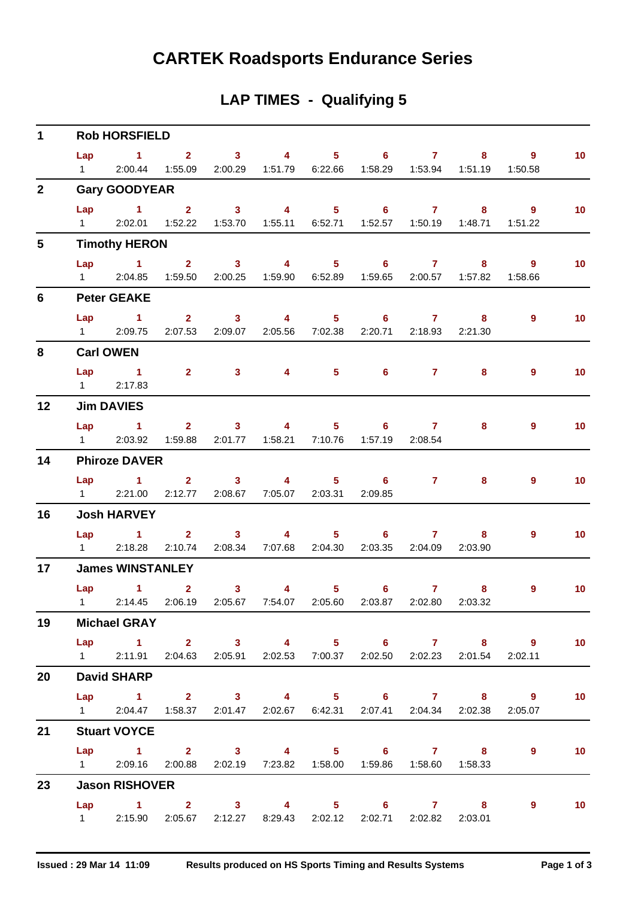# **CARTEK Roadsports Endurance Series**

# **LAP TIMES - Qualifying 5**

| $\mathbf 1$      |                        | <b>Rob HORSFIELD</b>                                                                        |                |                |                                                                                 |   |                |                             |
|------------------|------------------------|---------------------------------------------------------------------------------------------|----------------|----------------|---------------------------------------------------------------------------------|---|----------------|-----------------------------|
|                  |                        | Lap 1 2 3 4 5 6 7 8 9                                                                       |                |                |                                                                                 |   |                | 10                          |
|                  | $1 \quad \Box$         |                                                                                             |                |                | 2:00.44  1:55.09  2:00.29  1:51.79  6:22.66  1:58.29  1:53.94  1:51.19  1:50.58 |   |                |                             |
| $\overline{2}$   |                        | <b>Gary GOODYEAR</b>                                                                        |                |                |                                                                                 |   |                |                             |
|                  | Lap                    | $1 \t 2 \t 3$                                                                               |                |                | 4 5 6 7 8 9                                                                     |   |                | 10 <sub>1</sub>             |
|                  |                        | 1 2:02.01 1:52.22 1:53.70 1:55.11 6:52.71 1:52.57 1:50.19 1:48.71 1:51.22                   |                |                |                                                                                 |   |                |                             |
| $5\phantom{.0}$  |                        | <b>Timothy HERON</b>                                                                        |                |                |                                                                                 |   |                |                             |
|                  |                        | Lap 1 2 3 4 5 6 7                                                                           |                |                |                                                                                 |   | 9<br>$8 - 1$   | 10                          |
|                  |                        | 1 2:04.85 1:59.50 2:00.25 1:59.90 6:52.89 1:59.65 2:00.57 1:57.82 1:58.66                   |                |                |                                                                                 |   |                |                             |
| $6\phantom{1}$   |                        | <b>Peter GEAKE</b>                                                                          |                |                |                                                                                 |   |                |                             |
|                  |                        | Lap 1 2 3 4 5 6 7 8                                                                         |                |                |                                                                                 |   | 9              | 10                          |
|                  |                        | 1 2:09.75 2:07.53 2:09.07 2:05.56 7:02.38 2:20.71 2:18.93 2:21.30                           |                |                |                                                                                 |   |                |                             |
| 8                |                        | <b>Carl OWEN</b>                                                                            |                |                |                                                                                 |   |                |                             |
|                  |                        | Lap 1 2 3 4 5 6 7                                                                           |                |                |                                                                                 | 8 | $\overline{9}$ | 10 <sub>1</sub>             |
|                  | $1 \quad \blacksquare$ | 2:17.83                                                                                     |                |                |                                                                                 |   |                |                             |
| 12               |                        | <b>Jim DAVIES</b>                                                                           |                |                |                                                                                 |   |                |                             |
|                  |                        | Lap 1 2 3 4 5 6 7                                                                           |                |                |                                                                                 | 8 | $\overline{9}$ | 10 <sub>1</sub>             |
|                  |                        | 1 2:03.92 1:59.88 2:01.77 1:58.21 7:10.76 1:57.19 2:08.54                                   |                |                |                                                                                 |   |                |                             |
| 14               |                        | <b>Phiroze DAVER</b>                                                                        |                |                |                                                                                 |   |                |                             |
|                  |                        | Lap 1 2 3 4 5 6 7 8                                                                         |                |                |                                                                                 |   | $\overline{9}$ | 10                          |
|                  |                        | 1 2:21.00 2:12.77 2:08.67 7:05.07 2:03.31 2:09.85                                           |                |                |                                                                                 |   |                |                             |
| 16               |                        | <b>Josh HARVEY</b>                                                                          |                |                |                                                                                 |   |                |                             |
|                  |                        | Lap 1 2 3 4 5 6 7 8                                                                         |                |                |                                                                                 |   | $\overline{9}$ | 10                          |
|                  |                        | 1  2:18.28  2:10.74  2:08.34  7:07.68  2:04.30  2:03.35  2:04.09  2:03.90                   |                |                |                                                                                 |   |                |                             |
| 17 <sup>17</sup> |                        | <b>James WINSTANLEY</b>                                                                     |                |                |                                                                                 |   |                |                             |
|                  |                        | Lap 1 2                                                                                     | 3 <sup>1</sup> | $\overline{4}$ | 5 6 7                                                                           | 8 | $\overline{9}$ | 10 <sub>1</sub>             |
|                  |                        | 1   2:14.45   2:06.19   2:05.67   7:54.07   2:05.60   2:03.87   2:02.80   2:03.32           |                |                |                                                                                 |   |                |                             |
| 19               |                        | <b>Michael GRAY</b>                                                                         |                |                |                                                                                 |   |                |                             |
|                  |                        | Lap 1 2 3 4 5 6 7 8 9                                                                       |                |                |                                                                                 |   |                | $\sim$ 10                   |
|                  |                        | 1 2:11.91 2:04.63 2:05.91 2:02.53 7:00.37 2:02.50 2:02.23 2:01.54 2:02.11                   |                |                |                                                                                 |   |                |                             |
| 20               |                        | <b>David SHARP</b>                                                                          |                |                |                                                                                 |   |                |                             |
|                  |                        | Lap 1 2 3 4 5 6 7 8 9                                                                       |                |                |                                                                                 |   |                | $\blacksquare$ 10           |
|                  |                        | 1   2:04.47   1:58.37   2:01.47   2:02.67   6:42.31   2:07.41   2:04.34   2:02.38   2:05.07 |                |                |                                                                                 |   |                |                             |
| 21               |                        | <b>Stuart VOYCE</b>                                                                         |                |                |                                                                                 |   |                |                             |
|                  |                        | Lap 1 2 3 4 5 6 7 8                                                                         |                |                |                                                                                 |   | 9              | 10                          |
|                  |                        | 1 2:09.16 2:00.88 2:02.19 7:23.82 1:58.00 1:59.86 1:58.60 1:58.33                           |                |                |                                                                                 |   |                |                             |
| 23               |                        | <b>Jason RISHOVER</b>                                                                       |                |                |                                                                                 |   |                |                             |
|                  |                        | Lap 1 2 3 4 5 6 7 8 9                                                                       |                |                |                                                                                 |   |                | $\overline{\phantom{0}}$ 10 |
|                  |                        | 1   2:15.90   2:05.67   2:12.27   8:29.43   2:02.12   2:02.71   2:02.82   2:03.01           |                |                |                                                                                 |   |                |                             |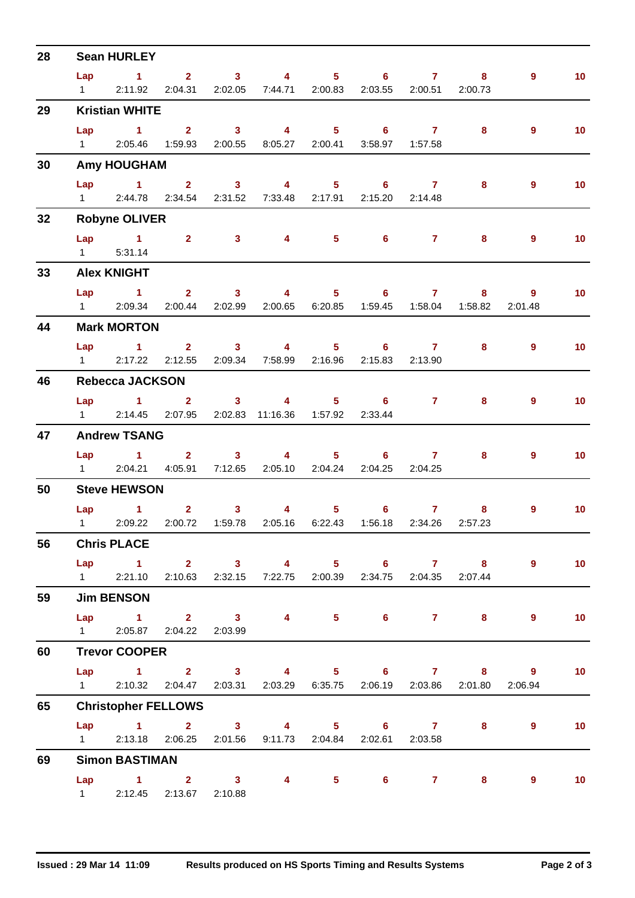| 28 |                   | <b>Sean HURLEY</b>         |                               |                                                                                             |                   |                         |                           |                       |                   |
|----|-------------------|----------------------------|-------------------------------|---------------------------------------------------------------------------------------------|-------------------|-------------------------|---------------------------|-----------------------|-------------------|
|    | Lap               |                            |                               | 1 2 3 4 5 6 7                                                                               |                   |                         | 8                         | 9                     | 10 <sub>1</sub>   |
|    | $1 \qquad \qquad$ | 2:11.92                    |                               | 2:04.31 2:02.05 7:44.71 2:00.83                                                             |                   | 2:03.55 2:00.51 2:00.73 |                           |                       |                   |
| 29 |                   | <b>Kristian WHITE</b>      |                               |                                                                                             |                   |                         |                           |                       |                   |
|    |                   |                            |                               | Lap 1 2 3 4 5 6 7 8                                                                         |                   |                         |                           | $9^{\circ}$           | 10 <sub>1</sub>   |
|    | $1 \quad \Box$    |                            |                               | 2:05.46  1:59.93  2:00.55  8:05.27  2:00.41                                                 |                   | 3:58.97  1:57.58        |                           |                       |                   |
| 30 |                   | <b>Amy HOUGHAM</b>         |                               |                                                                                             |                   |                         |                           |                       |                   |
|    |                   | Lap 1                      | $\overline{2}$ $\overline{3}$ | $\overline{4}$                                                                              | $5 \t\t 6 \t\t 7$ |                         | 8                         | $9^{\circ}$           | 10 <sub>1</sub>   |
|    |                   |                            |                               | 1 2:44.78 2:34.54 2:31.52 7:33.48 2:17.91 2:15.20 2:14.48                                   |                   |                         |                           |                       |                   |
| 32 |                   | <b>Robyne OLIVER</b>       |                               |                                                                                             |                   |                         |                           |                       |                   |
|    |                   | Lap 1 2 3                  |                               |                                                                                             | 4 5 6 7           |                         | 8                         | 9                     | 10 <sub>1</sub>   |
|    | $1 \quad \Box$    | 5:31.14                    |                               |                                                                                             |                   |                         |                           |                       |                   |
| 33 |                   | <b>Alex KNIGHT</b>         |                               |                                                                                             |                   |                         |                           |                       |                   |
|    |                   |                            |                               | Lap 1 2 3 4 5 6 7                                                                           |                   |                         |                           | 9<br>$8 - 1$          | 10 <sub>1</sub>   |
|    |                   | 1 2:09.34                  |                               | 2:00.44 2:02.99 2:00.65 6:20.85                                                             |                   |                         | 1:59.45  1:58.04  1:58.82 | 2:01.48               |                   |
| 44 |                   | <b>Mark MORTON</b>         |                               |                                                                                             |                   |                         |                           |                       |                   |
|    |                   |                            |                               | Lap 1 2 3 4 5 6 7                                                                           |                   |                         |                           | $8 - 1$<br>9          | 10 <sub>1</sub>   |
|    | $1 \quad \Box$    |                            |                               | 2:17.22 2:12.55 2:09.34 7:58.99 2:16.96 2:15.83 2:13.90                                     |                   |                         |                           |                       |                   |
| 46 |                   | <b>Rebecca JACKSON</b>     |                               |                                                                                             |                   |                         |                           |                       |                   |
|    |                   |                            |                               | Lap 1 2 3 4                                                                                 | $5 \t\t 6 \t\t 7$ |                         | 8                         | 9                     | 10                |
|    |                   |                            |                               | 1 2:14.45 2:07.95 2:02.83 11:16.36 1:57.92 2:33.44                                          |                   |                         |                           |                       |                   |
| 47 |                   | <b>Andrew TSANG</b>        |                               |                                                                                             |                   |                         |                           |                       |                   |
|    |                   |                            |                               | Lap 1 2 3 4 5 6 7                                                                           |                   |                         |                           |                       |                   |
|    |                   |                            |                               | 1 2:04.21 4:05.91 7:12.65 2:05.10 2:04.24 2:04.25 2:04.25                                   |                   |                         | 8                         | 9                     | 10 <sup>°</sup>   |
| 50 |                   | <b>Steve HEWSON</b>        |                               |                                                                                             |                   |                         |                           |                       |                   |
|    |                   |                            |                               |                                                                                             |                   |                         |                           |                       |                   |
|    |                   |                            |                               | Lap 1 2 3 4 5 6 7<br>1 2:09.22 2:00.72 1:59.78 2:05.16 6:22.43 1:56.18 2:34.26 2:57.23      |                   |                         | 8                         | $9^{\circ}$           | 10                |
|    |                   |                            |                               |                                                                                             |                   |                         |                           |                       |                   |
| 56 |                   | <b>Chris PLACE</b>         |                               |                                                                                             |                   |                         |                           |                       |                   |
|    |                   |                            |                               | Lap 1 2 3 4 5 6 7 8<br>1 2:21.10 2:10.63 2:32.15 7:22.75 2:00.39 2:34.75 2:04.35 2:07.44    |                   |                         |                           | $9^{\circ}$           | $\sim$ 10         |
|    |                   |                            |                               |                                                                                             |                   |                         |                           |                       |                   |
| 59 |                   | <b>Jim BENSON</b>          |                               |                                                                                             |                   |                         |                           |                       |                   |
|    |                   |                            |                               | Lap 1 2 3 4 5 6 7 8                                                                         |                   |                         |                           | $9^{\circ}$           | 10                |
|    |                   | 1 2:05.87 2:04.22 2:03.99  |                               |                                                                                             |                   |                         |                           |                       |                   |
| 60 |                   | <b>Trevor COOPER</b>       |                               |                                                                                             |                   |                         |                           |                       |                   |
|    |                   |                            |                               |                                                                                             |                   |                         |                           | Lap 1 2 3 4 5 6 7 8 9 | $\blacksquare$ 10 |
|    |                   |                            |                               | 1   2:10.32   2:04.47   2:03.31   2:03.29   6:35.75   2:06.19   2:03.86   2:01.80   2:06.94 |                   |                         |                           |                       |                   |
| 65 |                   | <b>Christopher FELLOWS</b> |                               |                                                                                             |                   |                         |                           |                       |                   |
|    |                   |                            |                               | Lap 1 2 3 4 5 6 7 8                                                                         |                   |                         |                           | $9^{\circ}$           | 10                |
|    |                   |                            |                               | 1 2:13.18 2:06.25 2:01.56 9:11.73 2:04.84 2:02.61 2:03.58                                   |                   |                         |                           |                       |                   |
| 69 |                   | <b>Simon BASTIMAN</b>      |                               |                                                                                             |                   |                         |                           |                       |                   |
|    |                   |                            |                               | Lap 1 2 3 4 5 6 7 8                                                                         |                   |                         |                           | $9^{\circ}$           | $\sim$ 10         |
|    |                   | 1 2:12.45 2:13.67 2:10.88  |                               |                                                                                             |                   |                         |                           |                       |                   |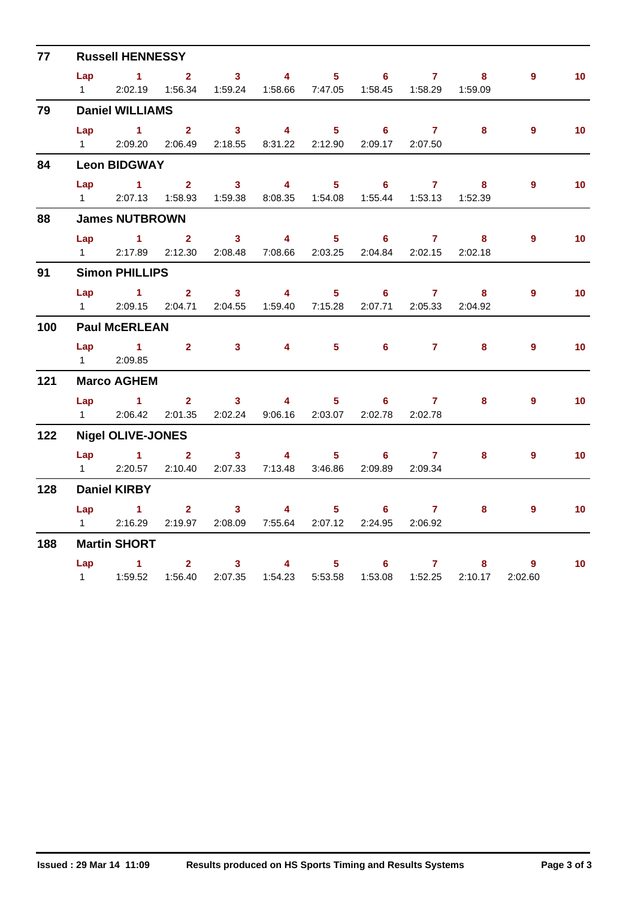| 77  |                        | <b>Russell HENNESSY</b>                                                        |                  |                                           |                                                                        |                            |                            |                     |          |                |                 |
|-----|------------------------|--------------------------------------------------------------------------------|------------------|-------------------------------------------|------------------------------------------------------------------------|----------------------------|----------------------------|---------------------|----------|----------------|-----------------|
|     |                        | Lap $1$ 2                                                                      |                  |                                           | $3 \t 4 \t 5$                                                          |                            |                            | $6\qquad 7$         | 8        | 9 <sup>°</sup> | 10 <sub>1</sub> |
|     | $1 \quad \blacksquare$ |                                                                                |                  |                                           | 2:02.19  1:56.34  1:59.24  1:58.66  7:47.05  1:58.45  1:58.29  1:59.09 |                            |                            |                     |          |                |                 |
| 79  |                        | <b>Daniel WILLIAMS</b>                                                         |                  |                                           |                                                                        |                            |                            |                     |          |                |                 |
|     | Lap                    | $\sim$ 1                                                                       | 2 <sup>1</sup>   |                                           | $3 \t 4$                                                               | 5 <sub>1</sub>             | $6 -$                      | $\sim$ 7            | 8        | $9^{\circ}$    | 10 <sup>°</sup> |
|     |                        | 1 2:09.20 2:06.49 2:18.55 8:31.22 2:12.90                                      |                  |                                           |                                                                        |                            |                            | 2:09.17 2:07.50     |          |                |                 |
| 84  |                        | <b>Leon BIDGWAY</b>                                                            |                  |                                           |                                                                        |                            |                            |                     |          |                |                 |
|     | Lap                    | $\sim$ $\sim$ $\sim$ $\sim$ $\sim$ $\sim$                                      | $2^{\circ}$      | $\overline{\mathbf{3}}$                   | $\overline{4}$                                                         | $\overline{\phantom{1}}$ 5 | $\overline{\phantom{a}}$ 6 | $\overline{7}$      | $\sim$ 8 | $9^{\circ}$    | 10 <sub>1</sub> |
|     | $1 \quad \Box$         |                                                                                |                  |                                           | 2:07.13  1:58.93  1:59.38  8:08.35  1:54.08  1:55.44  1:53.13          |                            |                            |                     | 1:52.39  |                |                 |
| 88  |                        | <b>James NUTBROWN</b>                                                          |                  |                                           |                                                                        |                            |                            |                     |          |                |                 |
|     |                        | Lap $1$ 2                                                                      |                  | $\overline{\mathbf{3}}$                   | $\overline{4}$                                                         |                            | $5 \t\t 6 \t\t 7$          |                     | 8        | 9              | 10 <sup>°</sup> |
|     | $1 \quad \blacksquare$ | 2:17.89                                                                        |                  |                                           | 2:12.30  2:08.48  7:08.66  2:03.25  2:04.84  2:02.15                   |                            |                            |                     | 2:02.18  |                |                 |
| 91  |                        | <b>Simon PHILLIPS</b>                                                          |                  |                                           |                                                                        |                            |                            |                     |          |                |                 |
|     |                        | Lap 1                                                                          | $\overline{2}$ 3 |                                           | $\overline{4}$                                                         |                            | $5 \t\t 6 \t\t 7$          |                     | 8        | 9              | 10 <sup>°</sup> |
|     | $1 \quad \Box$         | 2:09.15                                                                        | 2:04.71          |                                           | 2:04.55  1:59.40  7:15.28                                              |                            |                            | 2:07.71 2:05.33     | 2:04.92  |                |                 |
| 100 |                        | <b>Paul McERLEAN</b>                                                           |                  |                                           |                                                                        |                            |                            |                     |          |                |                 |
|     | Lap                    | $1 \t 2 \t 3$                                                                  |                  |                                           |                                                                        | $4 \qquad \qquad$          | $5 \t\t 6 \t\t 7$          |                     | 8        | 9              | 10 <sub>1</sub> |
|     |                        | 1 2:09.85                                                                      |                  |                                           |                                                                        |                            |                            |                     |          |                |                 |
| 121 |                        | <b>Marco AGHEM</b>                                                             |                  |                                           |                                                                        |                            |                            |                     |          |                |                 |
|     |                        | $Lap$ 1                                                                        |                  |                                           | $2 \t 3 \t 4$                                                          |                            | $5 - 5$                    | $6 \overline{7}$    | 8        | $\overline{9}$ | 10 <sup>°</sup> |
|     |                        | 1 2:06.42 2:01.35 2:02.24 9:06.16 2:03.07                                      |                  |                                           |                                                                        |                            |                            | 2:02.78 2:02.78     |          |                |                 |
| 122 |                        | <b>Nigel OLIVE-JONES</b>                                                       |                  |                                           |                                                                        |                            |                            |                     |          |                |                 |
|     | Lap                    | $\overline{1}$ $\overline{2}$                                                  |                  |                                           | $3 \t 4$                                                               | 5 <sub>1</sub>             |                            | $6 \qquad \qquad 7$ | 8        | $\overline{9}$ | 10 <sub>1</sub> |
|     | $1 \quad \Box$         | 2:20.57                                                                        |                  |                                           | 2:10.40  2:07.33  7:13.48  3:46.86                                     |                            |                            | 2:09.89 2:09.34     |          |                |                 |
| 128 |                        | <b>Daniel KIRBY</b>                                                            |                  |                                           |                                                                        |                            |                            |                     |          |                |                 |
|     |                        | $Lap$ 1                                                                        |                  | $\overline{\mathbf{2}}$<br>3 <sup>1</sup> | $\sim$ 4 $\sim$                                                        |                            | $5 - 5$                    | $6 \qquad \qquad 7$ | 8        | 9              | 10 <sup>°</sup> |
|     | $1 \quad \Box$         | 2:16.29                                                                        |                  |                                           | 2:19.97  2:08.09  7:55.64  2:07.12  2:24.95  2:06.92                   |                            |                            |                     |          |                |                 |
| 188 |                        | <b>Martin SHORT</b>                                                            |                  |                                           |                                                                        |                            |                            |                     |          |                |                 |
|     |                        | Lap 1                                                                          |                  | $\overline{\mathbf{2}}$                   | $3 \qquad 4 \qquad 5 \qquad 6 \qquad 7$                                |                            |                            |                     | 8        | 9              | 10 <sup>°</sup> |
|     |                        | 1    1:59.52    1:56.40    2:07.35    1:54.23    5:53.58    1:53.08    1:52.25 |                  |                                           |                                                                        |                            |                            |                     | 2:10.17  | 2:02.60        |                 |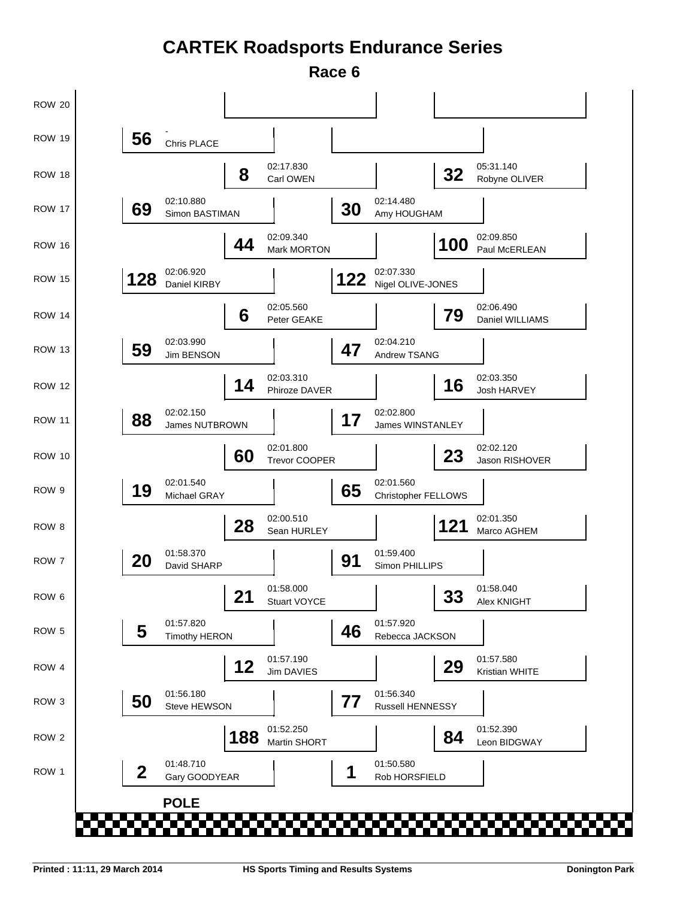# **CARTEK Roadsports Endurance Series**

**Race 6**

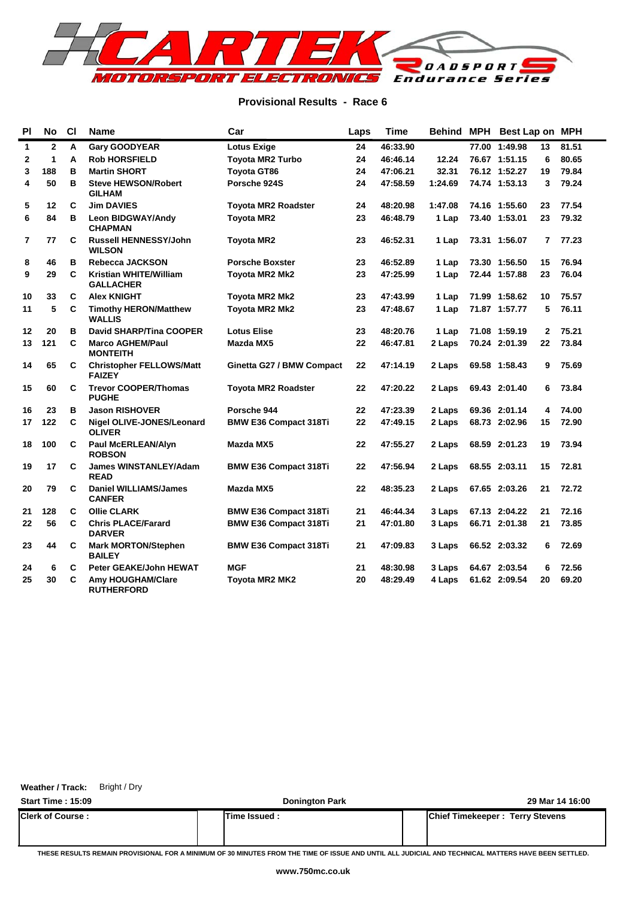

## **Provisional Results - Race 6**

| P <sub>1</sub> | No           | <b>CI</b> | <b>Name</b>                                       | Car                          | Laps | <b>Time</b> |         | Behind MPH Best Lap on MPH |              |       |
|----------------|--------------|-----------|---------------------------------------------------|------------------------------|------|-------------|---------|----------------------------|--------------|-------|
| $\mathbf{1}$   | $\mathbf{2}$ | А         | <b>Gary GOODYEAR</b>                              | <b>Lotus Exige</b>           | 24   | 46:33.90    |         | 77.00 1:49.98              | 13           | 81.51 |
| 2              | 1            | A         | <b>Rob HORSFIELD</b>                              | <b>Toyota MR2 Turbo</b>      | 24   | 46:46.14    | 12.24   | 76.67 1:51.15              | 6            | 80.65 |
| 3              | 188          | в         | <b>Martin SHORT</b>                               | <b>Toyota GT86</b>           | 24   | 47:06.21    | 32.31   | 76.12 1:52.27              | 19           | 79.84 |
| 4              | 50           | в         | <b>Steve HEWSON/Robert</b><br><b>GILHAM</b>       | Porsche 924S                 | 24   | 47:58.59    | 1:24.69 | 74.74 1:53.13              | 3            | 79.24 |
| 5              | 12           | C         | <b>Jim DAVIES</b>                                 | <b>Toyota MR2 Roadster</b>   | 24   | 48:20.98    | 1:47.08 | 74.16 1:55.60              | 23           | 77.54 |
| 6              | 84           | в         | Leon BIDGWAY/Andy<br><b>CHAPMAN</b>               | <b>Toyota MR2</b>            | 23   | 46:48.79    | 1 Lap   | 73.40 1:53.01              | 23           | 79.32 |
| $\overline{7}$ | 77           | C         | <b>Russell HENNESSY/John</b><br><b>WILSON</b>     | <b>Toyota MR2</b>            | 23   | 46:52.31    | 1 Lap   | 73.31 1:56.07              | 7            | 77.23 |
| 8              | 46           | в         | Rebecca JACKSON                                   | <b>Porsche Boxster</b>       | 23   | 46:52.89    | 1 Lap   | 73.30 1:56.50              | 15           | 76.94 |
| 9              | 29           | C         | <b>Kristian WHITE/William</b><br><b>GALLACHER</b> | <b>Toyota MR2 Mk2</b>        | 23   | 47:25.99    | 1 Lap   | 72.44 1:57.88              | 23           | 76.04 |
| 10             | 33           | C         | <b>Alex KNIGHT</b>                                | Toyota MR2 Mk2               | 23   | 47:43.99    | 1 Lap   | 71.99 1:58.62              | 10           | 75.57 |
| 11             | 5            | C         | <b>Timothy HERON/Matthew</b><br><b>WALLIS</b>     | <b>Toyota MR2 Mk2</b>        | 23   | 47:48.67    | 1 Lap   | 71.87 1:57.77              | 5            | 76.11 |
| 12             | 20           | в         | <b>David SHARP/Tina COOPER</b>                    | <b>Lotus Elise</b>           | 23   | 48:20.76    | 1 Lap   | 71.08 1:59.19              | $\mathbf{2}$ | 75.21 |
| 13             | 121          | C         | <b>Marco AGHEM/Paul</b><br><b>MONTEITH</b>        | Mazda MX5                    | 22   | 46:47.81    | 2 Laps  | 70.24 2:01.39              | 22           | 73.84 |
| 14             | 65           | C         | <b>Christopher FELLOWS/Matt</b><br><b>FAIZEY</b>  | Ginetta G27 / BMW Compact    | 22   | 47:14.19    | 2 Laps  | 69.58 1:58.43              | 9            | 75.69 |
| 15             | 60           | C         | <b>Trevor COOPER/Thomas</b><br><b>PUGHE</b>       | <b>Toyota MR2 Roadster</b>   | 22   | 47:20.22    | 2 Laps  | 69.43 2:01.40              | 6            | 73.84 |
| 16             | 23           | в         | <b>Jason RISHOVER</b>                             | Porsche 944                  | 22   | 47:23.39    | 2 Laps  | 69.36 2:01.14              | 4            | 74.00 |
| 17             | 122          | C         | Nigel OLIVE-JONES/Leonard<br><b>OLIVER</b>        | <b>BMW E36 Compact 318Ti</b> | 22   | 47:49.15    | 2 Laps  | 68.73 2:02.96              | 15           | 72.90 |
| 18             | 100          | C         | Paul McERLEAN/Alyn<br><b>ROBSON</b>               | Mazda MX5                    | 22   | 47:55.27    | 2 Laps  | 68.59 2:01.23              | 19           | 73.94 |
| 19             | 17           | C         | <b>James WINSTANLEY/Adam</b><br><b>READ</b>       | <b>BMW E36 Compact 318Ti</b> | 22   | 47:56.94    | 2 Laps  | 68.55 2:03.11              | 15           | 72.81 |
| 20             | 79           | C         | <b>Daniel WILLIAMS/James</b><br><b>CANFER</b>     | Mazda MX5                    | 22   | 48:35.23    | 2 Laps  | 67.65 2:03.26              | 21           | 72.72 |
| 21             | 128          | C         | <b>Ollie CLARK</b>                                | <b>BMW E36 Compact 318Ti</b> | 21   | 46:44.34    | 3 Laps  | 67.13 2:04.22              | 21           | 72.16 |
| 22             | 56           | C         | <b>Chris PLACE/Farard</b><br><b>DARVER</b>        | <b>BMW E36 Compact 318Ti</b> | 21   | 47:01.80    | 3 Laps  | 66.71 2:01.38              | 21           | 73.85 |
| 23             | 44           | C         | <b>Mark MORTON/Stephen</b><br><b>BAILEY</b>       | <b>BMW E36 Compact 318Ti</b> | 21   | 47:09.83    | 3 Laps  | 66.52 2:03.32              | 6            | 72.69 |
| 24             | 6            | C         | <b>Peter GEAKE/John HEWAT</b>                     | <b>MGF</b>                   | 21   | 48:30.98    | 3 Laps  | 64.67 2:03.54              | 6            | 72.56 |
| 25             | 30           | C         | Amy HOUGHAM/Clare<br><b>RUTHERFORD</b>            | <b>Toyota MR2 MK2</b>        | 20   | 48:29.49    | 4 Laps  | 61.62 2:09.54              | 20           | 69.20 |

## **Weather / Track:** Bright / Dry

| <b>Start Time: 15:09</b> | <b>Donington Park</b> | 29 Mar 14 16:00                        |
|--------------------------|-----------------------|----------------------------------------|
| <b>Clerk of Course:</b>  | Time Issued :         | <b>Chief Timekeeper: Terry Stevens</b> |
|                          |                       |                                        |

**THESE RESULTS REMAIN PROVISIONAL FOR A MINIMUM OF 30 MINUTES FROM THE TIME OF ISSUE AND UNTIL ALL JUDICIAL AND TECHNICAL MATTERS HAVE BEEN SETTLED.**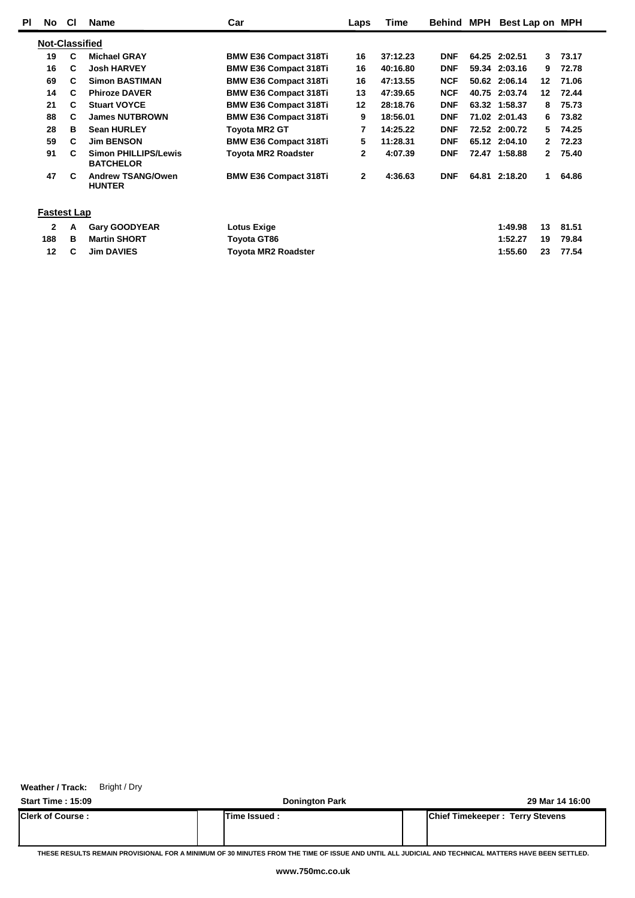| ΡI | No                           | <b>CI</b> | <b>Name</b>                                     | Car                          | Laps         | Time     | Behind     | MPH | Best Lap on MPH |              |       |
|----|------------------------------|-----------|-------------------------------------------------|------------------------------|--------------|----------|------------|-----|-----------------|--------------|-------|
|    | <b>Not-Classified</b>        |           |                                                 |                              |              |          |            |     |                 |              |       |
|    | 19                           | C         | <b>Michael GRAY</b>                             | <b>BMW E36 Compact 318Ti</b> | 16           | 37:12.23 | <b>DNF</b> |     | 64.25 2:02.51   | 3            | 73.17 |
|    | 16                           | C         | <b>Josh HARVEY</b>                              | <b>BMW E36 Compact 318Ti</b> | 16           | 40:16.80 | <b>DNF</b> |     | 59.34 2:03.16   | 9            | 72.78 |
|    | 69                           | C         | <b>Simon BASTIMAN</b>                           | <b>BMW E36 Compact 318Ti</b> | 16           | 47:13.55 | <b>NCF</b> |     | 50.62 2:06.14   | 12           | 71.06 |
|    | 14                           | C         | <b>Phiroze DAVER</b>                            | <b>BMW E36 Compact 318Ti</b> | 13           | 47:39.65 | <b>NCF</b> |     | 40.75 2:03.74   | 12           | 72.44 |
|    | 21                           | C         | <b>Stuart VOYCE</b>                             | <b>BMW E36 Compact 318Ti</b> | 12           | 28:18.76 | <b>DNF</b> |     | 63.32 1:58.37   | 8            | 75.73 |
|    | 88                           | C         | <b>James NUTBROWN</b>                           | <b>BMW E36 Compact 318Ti</b> | 9            | 18:56.01 | <b>DNF</b> |     | 71.02 2:01.43   | 6            | 73.82 |
|    | 28                           | в         | <b>Sean HURLEY</b>                              | Toyota MR2 GT                | 7            | 14:25.22 | <b>DNF</b> |     | 72.52 2:00.72   | 5.           | 74.25 |
|    | 59                           | C         | <b>Jim BENSON</b>                               | <b>BMW E36 Compact 318Ti</b> | 5            | 11:28.31 | <b>DNF</b> |     | 65.12 2:04.10   | 2            | 72.23 |
|    | 91                           | C         | <b>Simon PHILLIPS/Lewis</b><br><b>BATCHELOR</b> | <b>Toyota MR2 Roadster</b>   | 2            | 4:07.39  | <b>DNF</b> |     | 72.47 1:58.88   | $\mathbf{2}$ | 75.40 |
|    | 47                           | C         | <b>Andrew TSANG/Owen</b><br><b>HUNTER</b>       | <b>BMW E36 Compact 318Ti</b> | $\mathbf{2}$ | 4:36.63  | <b>DNF</b> |     | 64.81 2:18.20   | 1            | 64.86 |
|    | <b>Fastest Lap</b>           |           |                                                 |                              |              |          |            |     |                 |              |       |
|    | 2                            | A         | <b>Gary GOODYEAR</b>                            | Lotus Exige                  |              |          |            |     | 1:49.98         | 13           | 81.51 |
|    | 188                          | в         | <b>Martin SHORT</b>                             | Toyota GT86                  |              |          |            |     | 1:52.27         | 19           | 79.84 |
|    | <b>Jim DAVIES</b><br>12<br>C |           |                                                 | Toyota MR2 Roadster          |              |          |            |     | 1:55.60         | 23           | 77.54 |

**Weather / Track:** Bright / Dry

**Start Time : 15:09 Donington Park 29 Mar 14 16:00 Clerk of Course : Time Issued : Chief Timekeeper : Terry Stevens**

**THESE RESULTS REMAIN PROVISIONAL FOR A MINIMUM OF 30 MINUTES FROM THE TIME OF ISSUE AND UNTIL ALL JUDICIAL AND TECHNICAL MATTERS HAVE BEEN SETTLED.**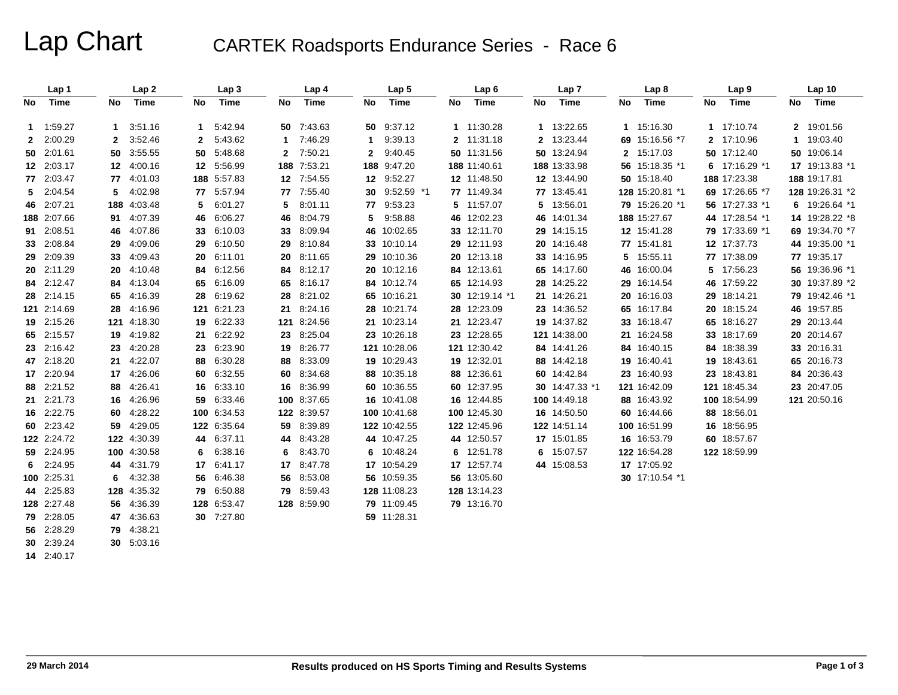Lap Chart CARTEK Roadsports Endurance Series - Race 6

|              | Lap 1       |             | Lap <sub>2</sub> |    | Lap <sub>3</sub> |              | Lap 4       |                | Lap <sub>5</sub> |    | Lap6           |    | Lap <sub>7</sub> |              | Lap <sub>8</sub> |             | Lap <sub>9</sub> |    | Lap 10          |
|--------------|-------------|-------------|------------------|----|------------------|--------------|-------------|----------------|------------------|----|----------------|----|------------------|--------------|------------------|-------------|------------------|----|-----------------|
| No.          | Time        | No          | Time             | No | Time             | No           | Time        | No             | Time             | No | Time           | No | Time             | No           | Time             | No          | Time             | No | Time            |
|              | 1 1:59.27   | $\mathbf 1$ | 3:51.16          | 1  | 5:42.94          | 50           | 7:43.63     |                | 50 9:37.12       |    | 1 11:30.28     |    | 1 13:22.65       |              | 1 15:16.30       | $\mathbf 1$ | 17:10.74         |    | 2 19:01.56      |
| $\mathbf{2}$ | 2:00.29     | 2           | 3:52.46          | 2  | 5:43.62          | 1            | 7:46.29     | 1.             | 9:39.13          |    | 2 11:31.18     |    | 2 13:23.44       | 69           | 15:16.56 *7      |             | 2 17:10.96       |    | 1 19:03.40      |
|              | 50 2:01.61  | 50          | 3:55.55          | 50 | 5:48.68          | $\mathbf{2}$ | 7:50.21     | $\mathbf{2}^-$ | 9:40.45          |    | 50 11:31.56    |    | 50 13:24.94      | $\mathbf{2}$ | 15:17.03         |             | 50 17:12.40      |    | 50 19:06.14     |
|              | 12 2:03.17  |             | 12 4:00.16       |    | 12 5:56.99       |              | 188 7:53.21 |                | 188 9:47.20      |    | 188 11:40.61   |    | 188 13:33.98     | 56           | 15:18.35 *1      |             | 6 $17:16.29$ *1  |    | 17 19:13.83 *1  |
|              | 77 2:03.47  |             | 77 4:01.03       |    | 188 5:57.83      |              | 12 7:54.55  |                | 12 9:52.27       |    | 12 11:48.50    |    | 12 13:44.90      |              | 50 15:18.40      |             | 188 17:23.38     |    | 188 19:17.81    |
|              | 5 2:04.54   | 5.          | 4:02.98          | 77 | 5:57.94          |              | 77 7:55.40  |                | 30 9:52.59 *1    |    | 77 11:49.34    |    | 77 13:45.41      |              | 128 15:20.81 *1  |             | 69 17:26.65 *7   |    | 128 19:26.31 *2 |
|              | 46 2:07.21  |             | 188 4:03.48      | 5  | 6:01.27          | 5            | 8:01.11     |                | 77 9:53.23       |    | 5 11:57.07     |    | 5 13:56.01       |              | 79 15:26.20 *1   |             | 56 17:27.33 *1   |    | 6 19:26.64 *1   |
|              | 188 2:07.66 | 91.         | 4:07.39          | 46 | 6:06.27          | 46           | 8:04.79     | 5.             | 9:58.88          |    | 46 12:02.23    |    | 46 14:01.34      |              | 188 15:27.67     |             | 44 17:28.54 *1   |    | 14 19:28.22 *8  |
|              | 91 2:08.51  | 46          | 4:07.86          | 33 | 6:10.03          | 33           | 8:09.94     |                | 46 10:02.65      |    | 33 12:11.70    |    | 29 14:15.15      |              | 12 15:41.28      |             | 79 17:33.69 *1   |    | 69 19:34.70 *7  |
|              | 33 2:08.84  | 29          | 4:09.06          | 29 | 6:10.50          | 29           | 8:10.84     |                | 33 10:10.14      |    | 29 12:11.93    |    | 20 14:16.48      |              | 77 15:41.81      |             | 12 17:37.73      |    | 44 19:35.00 *1  |
|              | 29 2:09.39  | 33          | 4:09.43          | 20 | 6:11.01          | 20           | 8:11.65     |                | 29 10:10.36      |    | 20 12:13.18    |    | 33 14:16.95      | 5            | 15:55.11         |             | 77 17:38.09      |    | 77 19:35.17     |
|              | 20 2:11.29  |             | 20 4:10.48       | 84 | 6:12.56          | 84           | 8:12.17     |                | 20 10:12.16      |    | 84 12:13.61    |    | 65 14:17.60      | 46           | 16:00.04         |             | 5 17:56.23       |    | 56 19:36.96 *1  |
|              | 84 2:12.47  |             | 84 4:13.04       | 65 | 6:16.09          | 65           | 8:16.17     |                | 84 10:12.74      |    | 65 12:14.93    |    | 28 14:25.22      | 29           | 16:14.54         |             | 46 17:59.22      |    | 30 19:37.89 *2  |
|              | 28 2:14.15  |             | 65 4:16.39       | 28 | 6:19.62          | 28           | 8:21.02     |                | 65 10:16.21      |    | 30 12:19.14 *1 |    | 21 14:26.21      | 20           | 16:16.03         |             | 29 18:14.21      |    | 79 19:42.46 *1  |
|              | 121 2:14.69 |             | 28 4:16.96       |    | 121 6:21.23      | 21           | 8:24.16     |                | 28 10:21.74      |    | 28 12:23.09    |    | 23 14:36.52      | 65           | 16:17.84         |             | 20 18:15.24      |    | 46 19:57.85     |
|              | 19 2:15.26  |             | 121 4:18.30      |    | 19 6:22.33       | 121          | 8:24.56     |                | 21 10:23.14      |    | 21 12:23.47    |    | 19 14:37.82      | 33           | 16:18.47         |             | 65 18:16.27      |    | 29 20:13.44     |
|              | 65 2:15.57  |             | 19 4:19.82       | 21 | 6:22.92          |              | 23 8:25.04  |                | 23 10:26.18      |    | 23 12:28.65    |    | 121 14:38.00     |              | 21 16:24.58      |             | 33 18:17.69      |    | 20 20:14.67     |
|              | 23 2:16.42  |             | 23 4:20.28       | 23 | 6:23.90          | 19           | 8:26.77     |                | 121 10:28.06     |    | 121 12:30.42   |    | 84 14:41.26      | 84           | 16:40.15         |             | 84 18:38.39      |    | 33 20:16.31     |
|              | 47 2:18.20  | 21          | 4:22.07          | 88 | 6:30.28          | 88           | 8:33.09     |                | 19 10:29.43      |    | 19 12:32.01    |    | 88 14:42.18      | 19           | 16:40.41         |             | 19 18:43.61      |    | 65 20:16.73     |
|              | 17 2:20.94  |             | 17 4:26.06       | 60 | 6:32.55          | 60           | 8:34.68     |                | 88 10:35.18      |    | 88 12:36.61    |    | 60 14:42.84      | 23           | 16:40.93         |             | 23 18:43.81      |    | 84 20:36.43     |
|              | 88 2:21.52  |             | 88 4:26.41       |    | 16 6:33.10       | 16           | 8:36.99     |                | 60 10:36.55      |    | 60 12:37.95    |    | 30 14:47.33 *1   |              | 121 16:42.09     |             | 121 18:45.34     |    | 23 20:47.05     |
|              | 21 2:21.73  |             | 16 4:26.96       | 59 | 6:33.46          | 100          | 8:37.65     |                | 16 10:41.08      |    | 16 12:44.85    |    | 100 14:49.18     | 88           | 16:43.92         |             | 100 18:54.99     |    | 121 20:50.16    |
|              | 16 2:22.75  |             | 60 4:28.22       |    | 100 6:34.53      |              | 122 8:39.57 |                | 100 10:41.68     |    | 100 12:45.30   |    | 16 14:50.50      | 60           | 16:44.66         |             | 88 18:56.01      |    |                 |
|              | 60 2:23.42  |             | 59 4:29.05       |    | 122 6:35.64      | 59           | 8:39.89     |                | 122 10:42.55     |    | 122 12:45.96   |    | 122 14:51.14     |              | 100 16:51.99     |             | 16 18:56.95      |    |                 |
|              | 122 2:24.72 |             | 122 4:30.39      | 44 | 6:37.11          | 44           | 8:43.28     |                | 44 10:47.25      |    | 44 12:50.57    |    | 17 15:01.85      |              | 16 16:53.79      |             | 60 18:57.67      |    |                 |
|              | 59 2:24.95  |             | 100 4:30.58      | 6  | 6:38.16          | 6            | 8:43.70     |                | 6 10:48.24       |    | 6 12:51.78     |    | 6 15:07.57       |              | 122 16:54.28     |             | 122 18:59.99     |    |                 |
|              | $6$ 2:24.95 |             | 44 4:31.79       | 17 | 6:41.17          | 17           | 8:47.78     |                | 17 10:54.29      |    | 17 12:57.74    |    | 44 15:08.53      |              | 17 17:05.92      |             |                  |    |                 |
|              | 100 2:25.31 | 6           | 4:32.38          | 56 | 6:46.38          | 56           | 8:53.08     |                | 56 10:59.35      |    | 56 13:05.60    |    |                  |              | 30 17:10.54 *1   |             |                  |    |                 |
|              | 44 2:25.83  |             | 128 4:35.32      | 79 | 6:50.88          | 79           | 8:59.43     |                | 128 11:08.23     |    | 128 13:14.23   |    |                  |              |                  |             |                  |    |                 |
|              | 128 2:27.48 |             | 56 4:36.39       |    | 128 6:53.47      |              | 128 8:59.90 |                | 79 11:09.45      |    | 79 13:16.70    |    |                  |              |                  |             |                  |    |                 |
|              | 79 2:28.05  |             | 47 4:36.63       |    | 30 7:27.80       |              |             |                | 59 11:28.31      |    |                |    |                  |              |                  |             |                  |    |                 |
|              | 56 2:28.29  |             | 79 4:38.21       |    |                  |              |             |                |                  |    |                |    |                  |              |                  |             |                  |    |                 |
|              | 30 2:39.24  |             | 30 5:03.16       |    |                  |              |             |                |                  |    |                |    |                  |              |                  |             |                  |    |                 |

**14** 2:40.17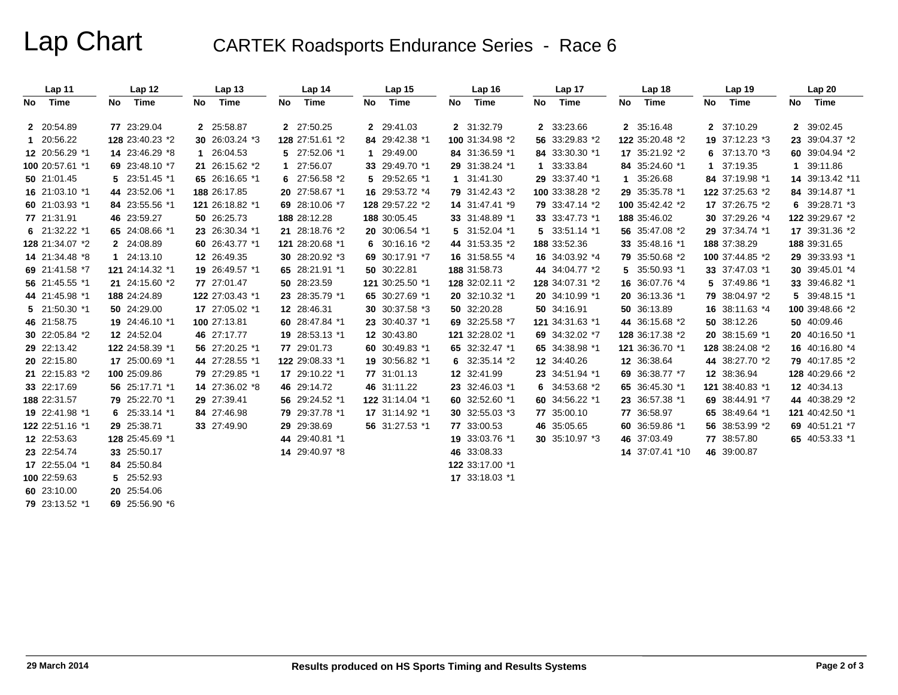Lap Chart CARTEK Roadsports Endurance Series - Race 6

|    | Lap 11          |     | Lap 12          |    | Lap <sub>13</sub> |    | Lap 14          | Lap <sub>15</sub> | Lap 16          |    | Lap 17          |     | Lap 18          |    | Lap <sub>19</sub> |    | Lap 20          |
|----|-----------------|-----|-----------------|----|-------------------|----|-----------------|-------------------|-----------------|----|-----------------|-----|-----------------|----|-------------------|----|-----------------|
| No | Time            | No. | Time            | No | Time              | No | Time            | No Time           | No Time         | No | Time            | No. | Time            | No | Time              | No | Time            |
|    | 2 20:54.89      |     | 77 23:29.04     |    | 2 25:58.87        |    | 2 27:50.25      | 2 29:41.03        | 2 31:32.79      |    | 2 33:23.66      |     | 2 35:16.48      |    | 2 37:10.29        |    | 2 39:02.45      |
|    | 1 20:56.22      |     | 128 23:40.23 *2 |    | 30 26:03.24 *3    |    | 128 27:51.61 *2 | 84 29:42.38 *1    | 100 31:34.98 *2 |    | 56 33:29.83 *2  |     | 122 35:20.48 *2 |    | 19 37:12.23 *3    |    | 23 39:04.37 *2  |
|    | 12 20:56.29 *1  |     | 14 23:46.29 *8  |    | 1 26:04.53        |    | 5 27:52.06 *1   | 1 29:49.00        | 84 31:36.59 *1  |    | 84 33:30.30 *1  |     | 17 35:21.92 *2  |    | 6 $37:13.70*3$    |    | 60 39:04.94 *2  |
|    | 100 20:57.61 *1 |     | 69 23:48.10 *7  |    | 21 26:15.62 *2    | 1. | 27:56.07        | 33 29:49.70 *1    | 29 31:38.24 *1  |    | 1 33:33.84      |     | 84 35:24.60 *1  | 1  | 37:19.35          |    | 1 39:11.86      |
|    | 50 21:01.45     |     | 5 23:51.45 *1   |    | 65 26:16.65 *1    |    | 6 27:56.58 *2   | 5 29:52.65 *1     | 1 31:41.30      |    | 29 33:37.40 *1  |     | 1 35:26.68      |    | 84 37:19.98 *1    |    | 14 39:13.42 *11 |
|    | 16 21:03.10 *1  |     | 44 23:52.06 *1  |    | 188 26:17.85      |    | 20 27:58.67 *1  | 16 29:53.72 *4    | 79 31:42.43 *2  |    | 100 33:38.28 *2 |     | 29 35:35.78 *1  |    | 122 37:25.63 *2   |    | 84 39:14.87 *1  |
|    | 60 21:03.93 *1  |     | 84 23:55.56 *1  |    | 121 26:18.82 *1   |    | 69 28:10.06 *7  | 128 29:57.22 *2   | 14 31:47.41 *9  |    | 79 33:47.14 *2  |     | 100 35:42.42 *2 |    | 17 37:26.75 *2    |    | 6 39:28.71 *3   |
|    | 77 21:31.91     |     | 46 23:59.27     |    | 50 26:25.73       |    | 188 28:12.28    | 188 30:05.45      | 33 31:48.89 *1  |    | 33 33:47.73 *1  |     | 188 35:46.02    |    | 30 37:29.26 *4    |    | 122 39:29.67 *2 |
|    | 6 $21:32.22*1$  |     | 65 24:08.66 *1  |    | 23 26:30.34 *1    |    | 21 28:18.76 *2  | 20 30:06.54 *1    | 5 31:52.04 *1   |    | 5 33:51.14 *1   |     | 56 35:47.08 *2  |    | 29 37:34.74 *1    |    | 17 39:31.36 *2  |
|    | 128 21:34.07 *2 |     | 2 24:08.89      |    | 60 26:43.77 *1    |    | 121 28:20.68 *1 | 6 $30:16.16*2$    | 44 31:53.35 *2  |    | 188 33:52.36    |     | 33 35:48.16 *1  |    | 188 37:38.29      |    | 188 39:31.65    |
|    | 14 21:34.48 *8  |     | 1 24:13.10      |    | 12 26:49.35       |    | 30 28:20.92 *3  | 69 30:17.91 *7    | 16 31:58.55 *4  |    | 16 34:03.92 *4  |     | 79 35:50.68 *2  |    | 100 37:44.85 *2   |    | 29 39:33.93 *1  |
|    | 69 21:41.58 *7  |     | 121 24:14.32 *1 |    | 19 26:49.57 *1    |    | 65 28:21.91 *1  | 50 30:22.81       | 188 31:58.73    |    | 44 34:04.77 *2  |     | 5 35:50.93 *1   |    | 33 37:47.03 *1    |    | 30 39:45.01 *4  |
|    | 56 21:45.55 *1  |     | 21 24:15.60 *2  |    | 77 27:01.47       |    | 50 28:23.59     | 121 30:25.50 *1   | 128 32:02.11 *2 |    | 128 34:07.31 *2 |     | 16 36:07.76 *4  |    | 5 37:49.86 *1     |    | 33 39:46.82 *1  |
|    | 44 21:45.98 *1  |     | 188 24:24.89    |    | 122 27:03.43 *1   |    | 23 28:35.79 *1  | 65 30:27.69 *1    | 20 32:10.32 *1  |    | 20 34:10.99 *1  |     | 20 36:13.36 *1  |    | 79 38:04.97 *2    |    | 5 39:48.15 *1   |
|    | 5 21:50.30 *1   |     | 50 24:29.00     |    | 17 27:05.02 *1    |    | 12 28:46.31     | 30 30:37.58 *3    | 50 32:20.28     |    | 50 34:16.91     |     | 50 36:13.89     |    | 16 38:11.63 *4    |    | 100 39:48.66 *2 |
|    | 46 21:58.75     |     | 19 24:46.10 *1  |    | 100 27:13.81      |    | 60 28:47.84 *1  | 23 30:40.37 *1    | 69 32:25.58 *7  |    | 121 34:31.63 *1 |     | 44 36:15.68 *2  |    | 50 38:12.26       |    | 50 40:09.46     |
|    | 30 22:05.84 *2  |     | 12 24:52.04     |    | 46 27:17.77       |    | 19 28:53.13 *1  | 12 30:43.80       | 121 32:28.02 *1 |    | 69 34:32.02 *7  |     | 128 36:17.38 *2 |    | 20 38:15.69 *1    |    | 20 40:16.50 *1  |
|    | 29 22:13.42     |     | 122 24:58.39 *1 |    | 56 27:20.25 *1    |    | 77 29:01.73     | 60 30:49.83 *1    | 65 32:32.47 *1  |    | 65 34:38.98 *1  |     | 121 36:36.70 *1 |    | 128 38:24.08 *2   |    | 16 40:16.80 *4  |
|    | 20 22:15.80     |     | 17 25:00.69 *1  |    | 44 27:28.55 *1    |    | 122 29:08.33 *1 | 19 30:56.82 *1    | 6 $32:35.14*2$  |    | 12 34:40.26     |     | 12 36:38.64     |    | 44 38:27.70 *2    |    | 79 40:17.85 *2  |
|    | 21 22:15.83 *2  |     | 100 25:09.86    |    | 79 27:29.85 *1    |    | 17 29:10.22 *1  | 77 31:01.13       | 12 32:41.99     |    | 23 34:51.94 *1  |     | 69 36:38.77 *7  |    | 12 38:36.94       |    | 128 40:29.66 *2 |
|    | 33 22:17.69     |     | 56 25:17.71 *1  |    | 14 27:36.02 *8    |    | 46 29:14.72     | 46 31:11.22       | 23 32:46.03 *1  |    | 6 34:53.68 *2   |     | 65 36:45.30 *1  |    | 121 38:40.83 *1   |    | 12 40:34.13     |
|    | 188 22:31.57    |     | 79 25:22.70 *1  |    | 29 27:39.41       |    | 56 29:24.52 *1  | 122 31:14.04 *1   | 60 32:52.60 *1  |    | 60 34:56.22 *1  |     | 23 36:57.38 *1  |    | 69 38:44.91 *7    |    | 44 40:38.29 *2  |
|    | 19 22:41.98 *1  |     | 6 25:33.14 *1   |    | 84 27:46.98       |    | 79 29:37.78 *1  | 17 31:14.92 *1    | 30 32:55.03 *3  |    | 77 35:00.10     |     | 77 36:58.97     |    | 65 38:49.64 *1    |    | 121 40:42.50 *1 |
|    | 122 22:51.16 *1 |     | 29 25:38.71     |    | 33 27:49.90       |    | 29 29:38.69     | 56 31:27.53 *1    | 77 33:00.53     |    | 46 35:05.65     |     | 60 36:59.86 *1  |    | 56 38:53.99 *2    |    | 69 40:51.21 *7  |
|    | 12 22:53.63     |     | 128 25:45.69 *1 |    |                   |    | 44 29:40.81 *1  |                   | 19 33:03.76 *1  |    | 30 35:10.97 *3  |     | 46 37:03.49     |    | 77 38:57.80       |    | 65 40:53.33 *1  |
|    | 23 22:54.74     |     | 33 25:50.17     |    |                   |    | 14 29:40.97 *8  |                   | 46 33:08.33     |    |                 |     | 14 37:07.41 *10 |    | 46 39:00.87       |    |                 |
|    | 17 22:55.04 *1  |     | 84 25:50.84     |    |                   |    |                 |                   | 122 33:17.00 *1 |    |                 |     |                 |    |                   |    |                 |
|    | 100 22:59.63    |     | 5 25:52.93      |    |                   |    |                 |                   | 17 33:18.03 *1  |    |                 |     |                 |    |                   |    |                 |
|    | 60 23:10.00     |     | 20 25:54.06     |    |                   |    |                 |                   |                 |    |                 |     |                 |    |                   |    |                 |
|    | 79 23:13.52 *1  |     | 69 25:56.90 *6  |    |                   |    |                 |                   |                 |    |                 |     |                 |    |                   |    |                 |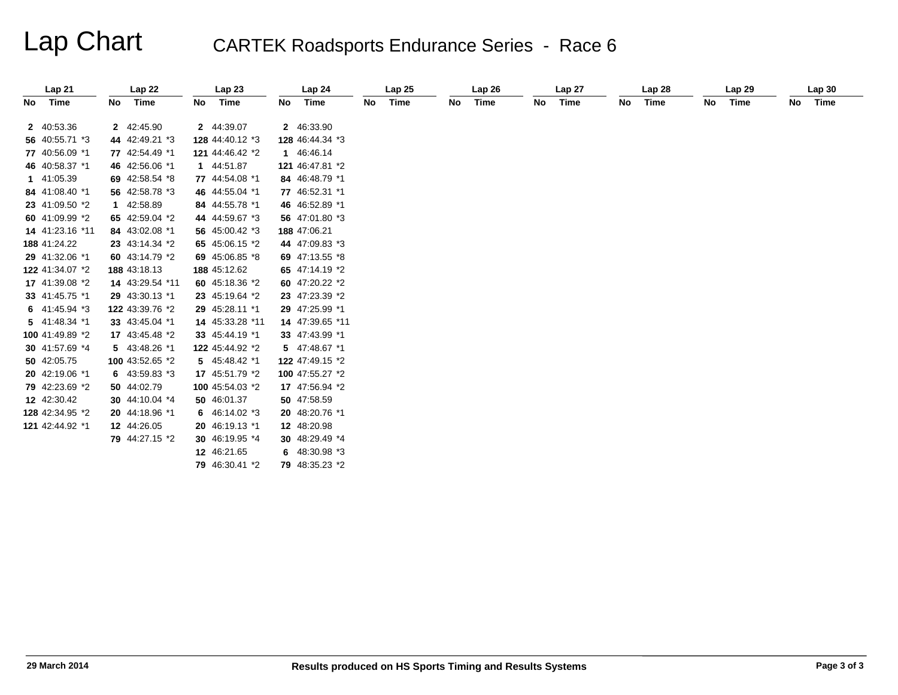# Lap Chart CARTEK Roadsports Endurance Series - Race 6

| Lap21           |    | Lap 22          |    | Lap23           |    | Lap24           |    | Lap25 |    | Lap26 |    | Lap 27 |    | Lap 28 |    | Lap <sub>29</sub> |    | Lap30 |
|-----------------|----|-----------------|----|-----------------|----|-----------------|----|-------|----|-------|----|--------|----|--------|----|-------------------|----|-------|
| No Time         | No | Time            | No | Time            | No | Time            | No | Time  | No | Time  | No | Time   | No | Time   | No | Time              | No | Time  |
| 2 40:53.36      |    | 2 42:45.90      |    | 2 44:39.07      |    | 2 46:33.90      |    |       |    |       |    |        |    |        |    |                   |    |       |
| 56 40:55.71 *3  |    | 44 42:49.21 *3  |    | 128 44:40.12 *3 |    | 128 46:44.34 *3 |    |       |    |       |    |        |    |        |    |                   |    |       |
| 77 40:56.09 *1  |    | 77 42:54.49 *1  |    | 121 44:46.42 *2 |    | 1 46:46.14      |    |       |    |       |    |        |    |        |    |                   |    |       |
| 46 40:58.37 *1  |    | 46 42:56.06 *1  |    | 1 44:51.87      |    | 121 46:47.81 *2 |    |       |    |       |    |        |    |        |    |                   |    |       |
| 1 41:05.39      |    | 69 42:58.54 *8  |    | 77 44:54.08 *1  |    | 84 46:48.79 *1  |    |       |    |       |    |        |    |        |    |                   |    |       |
| 84 41:08.40 *1  |    | 56 42:58.78 *3  |    | 46 44:55.04 *1  |    | 77 46:52.31 *1  |    |       |    |       |    |        |    |        |    |                   |    |       |
| 23 41:09.50 *2  |    | 1 42:58.89      |    | 84 44:55.78 *1  |    | 46 46:52.89 *1  |    |       |    |       |    |        |    |        |    |                   |    |       |
| 60 41:09.99 *2  |    | 65 42:59.04 *2  |    | 44 44:59.67 *3  |    | 56 47:01.80 *3  |    |       |    |       |    |        |    |        |    |                   |    |       |
| 14 41:23.16 *11 |    | 84 43:02.08 *1  |    | 56 45:00.42 *3  |    | 188 47:06.21    |    |       |    |       |    |        |    |        |    |                   |    |       |
| 188 41:24.22    |    | 23 43:14.34 *2  |    | 65 45:06.15 *2  |    | 44 47:09.83 *3  |    |       |    |       |    |        |    |        |    |                   |    |       |
| 29 41:32.06 *1  |    | 60 43:14.79 *2  |    | 69 45:06.85 *8  |    | 69 47:13.55 *8  |    |       |    |       |    |        |    |        |    |                   |    |       |
| 122 41:34.07 *2 |    | 188 43:18.13    |    | 188 45:12.62    |    | 65 47:14.19 *2  |    |       |    |       |    |        |    |        |    |                   |    |       |
| 17 41:39.08 *2  |    | 14 43:29.54 *11 |    | 60 45:18.36 *2  |    | 60 47:20.22 *2  |    |       |    |       |    |        |    |        |    |                   |    |       |
| 33 41:45.75 *1  |    | 29 43:30.13 *1  |    | 23 45:19.64 *2  |    | 23 47:23.39 *2  |    |       |    |       |    |        |    |        |    |                   |    |       |
| 6 $41:45.94*3$  |    | 122 43:39.76 *2 |    | 29 45:28.11 *1  |    | 29 47:25.99 *1  |    |       |    |       |    |        |    |        |    |                   |    |       |
| 5 41:48.34 *1   |    | 33 43:45.04 *1  |    | 14 45:33.28 *11 |    | 14 47:39.65 *11 |    |       |    |       |    |        |    |        |    |                   |    |       |
| 100 41:49.89 *2 |    | 17 43:45.48 *2  |    | 33 45:44.19 *1  |    | 33 47:43.99 *1  |    |       |    |       |    |        |    |        |    |                   |    |       |
| 30 41:57.69 *4  |    | 5 43:48.26 *1   |    | 122 45:44.92 *2 |    | 5 47:48.67 *1   |    |       |    |       |    |        |    |        |    |                   |    |       |
| 50 42:05.75     |    | 100 43:52.65 *2 |    | 5 45:48.42 *1   |    | 122 47:49.15 *2 |    |       |    |       |    |        |    |        |    |                   |    |       |
| 20 42:19.06 *1  |    | 6 $43:59.83*3$  |    | 17 45:51.79 *2  |    | 100 47:55.27 *2 |    |       |    |       |    |        |    |        |    |                   |    |       |
| 79 42:23.69 *2  |    | 50 44:02.79     |    | 100 45:54.03 *2 |    | 17 47:56.94 *2  |    |       |    |       |    |        |    |        |    |                   |    |       |
| 12 42:30.42     |    | 30 44:10.04 *4  |    | 50 46:01.37     |    | 50 47:58.59     |    |       |    |       |    |        |    |        |    |                   |    |       |
| 128 42:34.95 *2 |    | 20 44:18.96 *1  |    | 6 46:14.02 *3   |    | 20 48:20.76 *1  |    |       |    |       |    |        |    |        |    |                   |    |       |
| 121 42:44.92 *1 |    | 12 44:26.05     |    | 20 46:19.13 *1  |    | 12 48:20.98     |    |       |    |       |    |        |    |        |    |                   |    |       |
|                 |    | 79 44:27.15 *2  |    | 30 46:19.95 *4  |    | 30 48:29.49 *4  |    |       |    |       |    |        |    |        |    |                   |    |       |
|                 |    |                 |    | 12 46:21.65     |    | 6 48:30.98 *3   |    |       |    |       |    |        |    |        |    |                   |    |       |
|                 |    |                 |    | 79 46:30.41 *2  |    | 79 48:35.23 *2  |    |       |    |       |    |        |    |        |    |                   |    |       |
|                 |    |                 |    |                 |    |                 |    |       |    |       |    |        |    |        |    |                   |    |       |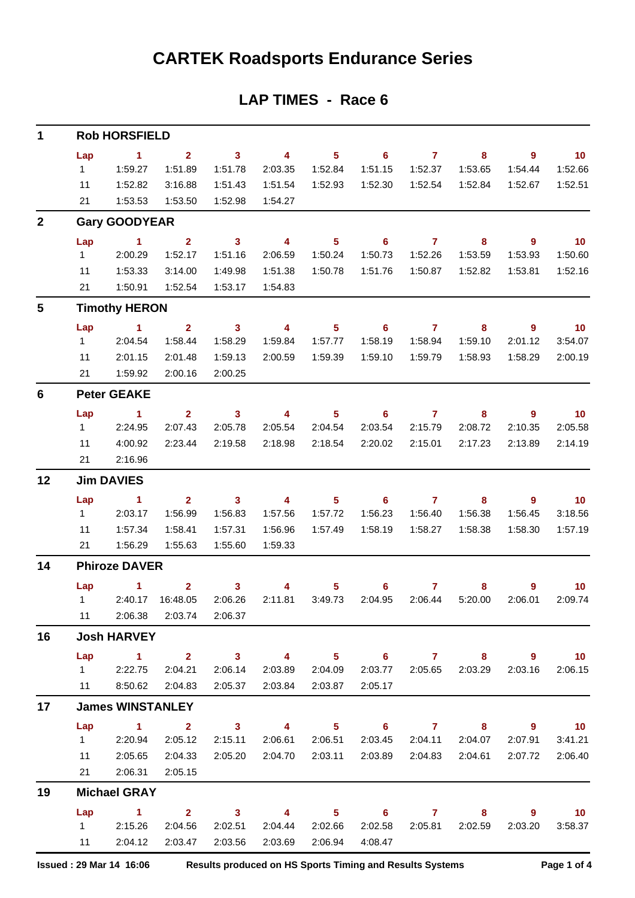# **CARTEK Roadsports Endurance Series**

## **LAP TIMES - Race 6**

| 1            |           | <b>Rob HORSFIELD</b>    |                            |                                    |                                    |                            |                                       |                           |                         |                |                                     |
|--------------|-----------|-------------------------|----------------------------|------------------------------------|------------------------------------|----------------------------|---------------------------------------|---------------------------|-------------------------|----------------|-------------------------------------|
|              | Lap       | $\blacksquare$          | $\mathbf{2}$               | $\overline{\phantom{a}}$ 3         | $\overline{4}$                     | 5 <sub>5</sub>             | $\overline{\phantom{0}}$ 6            | $\mathbf{7}$              | 8                       | $\overline{9}$ | $\overline{10}$                     |
|              | 1         | 1:59.27                 | 1:51.89                    | 1:51.78                            | 2:03.35                            | 1:52.84                    | 1:51.15                               | 1:52.37                   | 1:53.65                 | 1:54.44        | 1:52.66                             |
|              | 11        | 1:52.82                 | 3:16.88                    | 1:51.43                            | 1:51.54                            | 1:52.93                    | 1:52.30                               | 1:52.54                   | 1:52.84                 | 1:52.67        | 1:52.51                             |
|              | 21        | 1:53.53                 | 1:53.50                    | 1:52.98                            | 1:54.27                            |                            |                                       |                           |                         |                |                                     |
| $\mathbf{2}$ |           | <b>Gary GOODYEAR</b>    |                            |                                    |                                    |                            |                                       |                           |                         |                |                                     |
|              | Lap       | $\sim$ 1                | $\overline{\mathbf{2}}$    | $\overline{\mathbf{3}}$            | $\overline{\mathbf{4}}$            | 5 <sup>5</sup>             | $\overline{\phantom{0}}$ 6            | $\overline{7}$            | 8                       | $\overline{9}$ | 10                                  |
|              | $1 \quad$ | 2:00.29                 | 1:52.17                    | 1:51.16                            | 2:06.59                            | 1:50.24                    | 1:50.73                               | 1:52.26                   | 1:53.59                 | 1:53.93        | 1:50.60                             |
|              | 11        | 1:53.33                 | 3:14.00                    | 1:49.98                            | 1:51.38                            | 1:50.78                    | 1:51.76                               | 1:50.87                   | 1:52.82                 | 1:53.81        | 1:52.16                             |
|              | 21        | 1:50.91                 | 1:52.54                    | 1:53.17                            | 1:54.83                            |                            |                                       |                           |                         |                |                                     |
| 5            |           | <b>Timothy HERON</b>    |                            |                                    |                                    |                            |                                       |                           |                         |                |                                     |
|              | Lap       | $\blacktriangleleft$    | $\mathbf{2}$               | $\mathbf{3}$                       | $\overline{\mathbf{4}}$            | $5\phantom{.0}$            | $6^{\circ}$                           | $\overline{7}$            | 8                       | $\overline{9}$ | $-10$                               |
|              | 1         | 2:04.54                 | 1:58.44                    | 1:58.29                            | 1:59.84                            | 1:57.77                    | 1:58.19                               | 1:58.94                   | 1:59.10                 | 2:01.12        | 3:54.07                             |
|              | 11        | 2:01.15                 | 2:01.48                    | 1:59.13                            | 2:00.59                            | 1:59.39                    | 1:59.10                               | 1:59.79                   | 1:58.93                 | 1:58.29        | 2:00.19                             |
|              | 21        | 1:59.92                 | 2:00.16                    | 2:00.25                            |                                    |                            |                                       |                           |                         |                |                                     |
| 6            |           | <b>Peter GEAKE</b>      |                            |                                    |                                    |                            |                                       |                           |                         |                |                                     |
|              | Lap       | $\sim$ 1                | 2 <sup>1</sup>             | $\overline{\mathbf{3}}$            | $\overline{\mathbf{4}}$            | 5 <sub>5</sub>             | $\overline{\phantom{a}}$ 6            | $\overline{7}$            | 8                       | $\overline{9}$ | $-10$                               |
|              | 1         | 2:24.95                 | 2:07.43                    | 2:05.78                            | 2:05.54                            | 2:04.54                    | 2:03.54                               | 2:15.79                   | 2:08.72                 | 2:10.35        | 2:05.58                             |
|              | 11<br>21  | 4:00.92<br>2:16.96      | 2:23.44                    | 2:19.58                            | 2:18.98                            | 2:18.54                    | 2:20.02                               | 2:15.01                   | 2:17.23                 | 2:13.89        | 2:14.19                             |
|              |           |                         |                            |                                    |                                    |                            |                                       |                           |                         |                |                                     |
| 12           |           | <b>Jim DAVIES</b>       |                            |                                    |                                    |                            |                                       |                           |                         |                |                                     |
|              | Lap<br>1  | $\sim$ 1<br>2:03.17     | $\mathbf{2}$<br>1:56.99    | $\overline{\mathbf{3}}$<br>1:56.83 | $\overline{\mathbf{4}}$<br>1:57.56 | $5\phantom{.0}$<br>1:57.72 | $\overline{\phantom{0}}$ 6<br>1:56.23 | $\overline{7}$<br>1:56.40 | 8<br>1:56.38            | 9<br>1:56.45   | $\overline{\mathbf{10}}$<br>3:18.56 |
|              | 11        | 1:57.34                 | 1:58.41                    | 1:57.31                            | 1:56.96                            | 1:57.49                    | 1:58.19                               | 1:58.27                   | 1:58.38                 | 1:58.30        | 1:57.19                             |
|              | 21        | 1:56.29                 | 1:55.63                    | 1:55.60                            | 1:59.33                            |                            |                                       |                           |                         |                |                                     |
| 14           |           | <b>Phiroze DAVER</b>    |                            |                                    |                                    |                            |                                       |                           |                         |                |                                     |
|              | Lap       | $\sim$ 1                | $\overline{2}$             | $\mathbf{3}$                       | 4                                  | 5                          | 6 <sup>1</sup>                        | $\overline{7}$            | 8                       | 9              | 10 <sub>1</sub>                     |
|              |           | 1 2:40.17 16:48.05      |                            | 2:06.26                            | 2:11.81                            | 3:49.73                    | 2:04.95                               | 2:06.44                   | 5:20.00                 | 2:06.01        | 2:09.74                             |
|              |           |                         | 11 2:06.38 2:03.74 2:06.37 |                                    |                                    |                            |                                       |                           |                         |                |                                     |
| 16           |           | <b>Josh HARVEY</b>      |                            |                                    |                                    |                            |                                       |                           |                         |                |                                     |
|              | Lap       |                         | 1 2 3 4 5 6 7 8 9 10       |                                    |                                    |                            |                                       |                           |                         |                |                                     |
|              |           | 12:22.75                | 2:04.21                    | 2:06.14                            |                                    | 2:03.89 2:04.09            |                                       |                           | 2:03.77 2:05.65 2:03.29 | 2:03.16        | 2:06.15                             |
|              |           | 11 8:50.62              | 2:04.83                    | 2:05.37                            | 2:03.84                            | 2:03.87                    | 2:05.17                               |                           |                         |                |                                     |
| 17           |           | <b>James WINSTANLEY</b> |                            |                                    |                                    |                            |                                       |                           |                         |                |                                     |
|              |           |                         | Lap 1 2 3 4 5 6 7 8 9 10   |                                    |                                    |                            |                                       |                           |                         |                |                                     |
|              |           | 1 2:20.94               | 2:05.12                    | 2:15.11                            |                                    | 2:06.61 2:06.51            |                                       |                           | 2:03.45 2:04.11 2:04.07 | 2:07.91        | 3:41.21                             |
|              | 11        | 2:05.65                 | 2:04.33                    | 2:05.20                            |                                    | 2:04.70 2:03.11            |                                       |                           | 2:03.89 2:04.83 2:04.61 | 2:07.72        | 2:06.40                             |
|              |           | 21 2:06.31              | 2:05.15                    |                                    |                                    |                            |                                       |                           |                         |                |                                     |
| 19           |           | <b>Michael GRAY</b>     |                            |                                    |                                    |                            |                                       |                           |                         |                |                                     |
|              |           | Lap 1                   |                            |                                    | $2 \t 3 \t 4$                      | $\sim$ 5                   |                                       |                           | $6$ $7$ $8$             | - 9            | $\blacksquare$ 10                   |
|              |           | 1 2:15.26               | 2:04.56                    | 2:02.51                            | 2:04.44                            | 2:02.66                    |                                       | 2:02.58 2:05.81           | 2:02.59                 | 2:03.20        | 3:58.37                             |
|              |           | 11 2:04.12              | 2:03.47                    | 2:03.56                            | 2:03.69                            | 2:06.94                    | 4:08.47                               |                           |                         |                |                                     |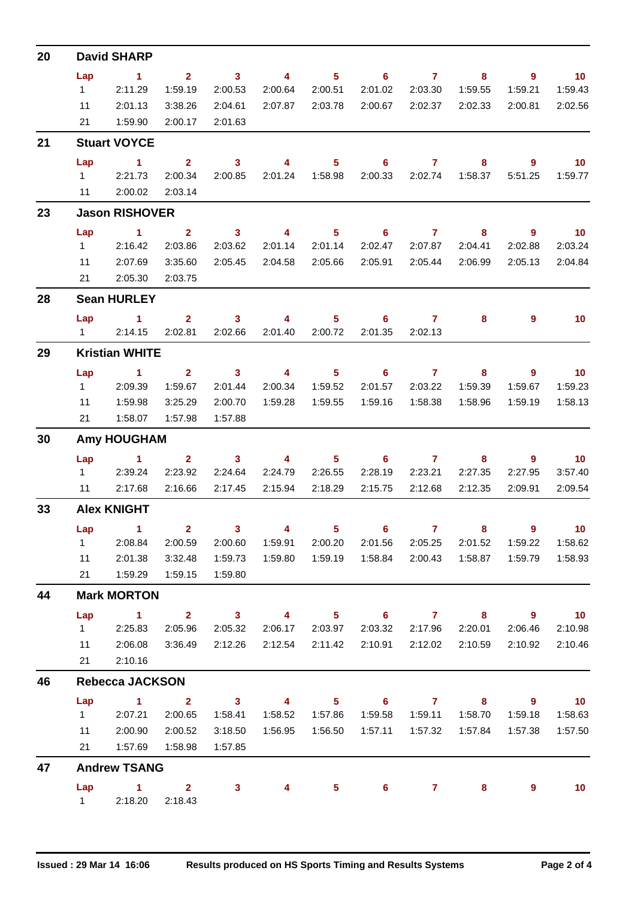| 20 |                  | <b>David SHARP</b>               |                         |                                    |                         |                            |                            |                 |                         |                            |                            |
|----|------------------|----------------------------------|-------------------------|------------------------------------|-------------------------|----------------------------|----------------------------|-----------------|-------------------------|----------------------------|----------------------------|
|    | Lap              | $\sim$ 1                         | $\overline{\mathbf{2}}$ | $\sim$ 3                           | $\overline{\mathbf{4}}$ | $\overline{\phantom{0}}$ 5 |                            | $6\qquad 7$     | 8 <sup>°</sup>          | $\overline{\phantom{a}}$ 9 | $\overline{10}$            |
|    | $1 \quad \Box$   | 2:11.29                          | 1:59.19                 | 2:00.53                            | 2:00.64                 | 2:00.51                    | 2:01.02                    | 2:03.30         | 1:59.55                 | 1:59.21                    | 1:59.43                    |
|    | 11               | 2:01.13                          | 3:38.26                 | 2:04.61                            | 2:07.87                 | 2:03.78                    |                            | 2:00.67 2:02.37 | 2:02.33                 | 2:00.81                    | 2:02.56                    |
|    | 21               | 1:59.90                          | 2:00.17                 | 2:01.63                            |                         |                            |                            |                 |                         |                            |                            |
| 21 |                  | <b>Stuart VOYCE</b>              |                         |                                    |                         |                            |                            |                 |                         |                            |                            |
|    | Lap              | $\sim$ 1                         | $2^{\circ}$             | $\sim$ 3                           | $\overline{4}$          | 5 <sub>1</sub>             | $\overline{\phantom{0}}$ 6 | $\overline{7}$  | 8                       | $9^{\circ}$                | $\overline{10}$            |
|    |                  | 12:21.73                         | 2:00.34                 | 2:00.85                            |                         |                            |                            |                 | 2:00.33 2:02.74 1:58.37 | 5:51.25                    | 1:59.77                    |
|    | $11$ and $11$    | 2:00.02                          | 2:03.14                 |                                    |                         |                            |                            |                 |                         |                            |                            |
| 23 |                  | <b>Jason RISHOVER</b>            |                         |                                    |                         |                            |                            |                 |                         |                            |                            |
|    | Lap              | $\sim$ 1 and 1                   | $\overline{2}$          | $\overline{\mathbf{3}}$            |                         |                            | 4 5 6 7                    |                 | 8                       | - 9                        | $\overline{10}$            |
|    | $1 \quad$        | 2:16.42                          | 2:03.86                 | 2:03.62                            | 2:01.14                 | 2:01.14                    | 2:02.47                    | 2:07.87         | 2:04.41                 | 2:02.88                    | 2:03.24                    |
|    | 11               | 2:07.69<br>21 2:05.30            | 3:35.60                 | 2:05.45                            | 2:04.58                 | 2:05.66                    | 2:05.91                    | 2:05.44         | 2:06.99                 | 2:05.13                    | 2:04.84                    |
|    |                  |                                  | 2:03.75                 |                                    |                         |                            |                            |                 |                         |                            |                            |
| 28 |                  | <b>Sean HURLEY</b>               |                         |                                    |                         |                            |                            |                 |                         |                            |                            |
|    |                  | Lap 1<br>12:14.15                | 2:02.81                 | 2:02.66                            | 2:01.40                 | 2:00.72                    | 2 3 4 5 6 7<br>2:01.35     | 2:02.13         | 8                       | 9                          | 10                         |
|    |                  |                                  |                         |                                    |                         |                            |                            |                 |                         |                            |                            |
| 29 |                  | <b>Kristian WHITE</b>            |                         |                                    |                         |                            |                            |                 |                         |                            |                            |
|    | Lap<br>$1 \quad$ | $\sim$ 1<br>2:09.39              | $\mathbf{2}$<br>1:59.67 | $\overline{\mathbf{3}}$<br>2:01.44 | 2:00.34                 | 1:59.52                    | 4 5 6 7<br>2:01.57         | 2:03.22         | 8<br>1:59.39            | - 9<br>1:59.67             | $\overline{10}$<br>1:59.23 |
|    | 11               | 1:59.98                          | 3:25.29                 | 2:00.70                            | 1:59.28                 | 1:59.55                    | 1:59.16                    | 1:58.38         | 1:58.96                 | 1:59.19                    | 1:58.13                    |
|    |                  | 21  1:58.07  1:57.98             |                         | 1:57.88                            |                         |                            |                            |                 |                         |                            |                            |
|    |                  |                                  |                         |                                    |                         |                            |                            |                 |                         |                            |                            |
| 30 |                  | <b>Amy HOUGHAM</b>               |                         |                                    |                         |                            |                            |                 |                         |                            |                            |
|    |                  | Lap 1 2 3 4 5 6 7 8<br>1 2:39.24 | 2:23.92                 | 2:24.64                            | 2:24.79                 | 2:26.55                    | 2:28.19                    | 2:23.21         | 2:27.35                 | - 9<br>2:27.95             | $\sim$ 10<br>3:57.40       |
|    | $11 -$           | 2:17.68                          | 2:16.66                 | 2:17.45                            | 2:15.94                 | 2:18.29                    | 2:15.75                    | 2:12.68         | 2:12.35                 | 2:09.91                    | 2:09.54                    |
| 33 |                  | <b>Alex KNIGHT</b>               |                         |                                    |                         |                            |                            |                 |                         |                            |                            |
|    |                  | Lap 1 2 3 4 5 6 7                |                         |                                    |                         |                            |                            |                 | $\bf8$ and $\bf8$       |                            | $9 \qquad \qquad 10$       |
|    | 1                | 2:08.84                          | 2:00.59                 | 2:00.60                            | 1:59.91                 | 2:00.20                    | 2:01.56                    | 2:05.25         | 2:01.52                 | 1:59.22                    | 1:58.62                    |
|    | 11               | 2:01.38                          | 3:32.48                 | 1:59.73                            |                         | 1:59.80  1:59.19           | 1:58.84                    | 2:00.43         | 1:58.87                 | 1:59.79                    | 1:58.93                    |
|    | 21               | 1:59.29                          | 1:59.15                 | 1:59.80                            |                         |                            |                            |                 |                         |                            |                            |
| 44 |                  | <b>Mark MORTON</b>               |                         |                                    |                         |                            |                            |                 |                         |                            |                            |
|    | Lap              | $\sim$ 1                         | 2 <sup>1</sup>          | $\sim$ 3                           | $\overline{4}$          | $5 -$                      | $\overline{\phantom{a}}$ 6 | $\overline{7}$  | 8                       | $\overline{\phantom{a}}$   | $\overline{10}$            |
|    | $1 \quad$        | 2:25.83                          | 2:05.96                 | 2:05.32                            |                         | 2:06.17 2:03.97            |                            | 2:03.32 2:17.96 | 2:20.01                 | 2:06.46                    | 2:10.98                    |
|    | 11               | 2:06.08                          | 3:36.49                 | 2:12.26                            | 2:12.54 2:11.42         |                            | 2:10.91                    | 2:12.02         | 2:10.59                 | 2:10.92                    | 2:10.46                    |
|    | 21               | 2:10.16                          |                         |                                    |                         |                            |                            |                 |                         |                            |                            |
| 46 |                  | <b>Rebecca JACKSON</b>           |                         |                                    |                         |                            |                            |                 |                         |                            |                            |
|    | Lap              | $\overline{1}$ $\overline{2}$    |                         | $\overline{\mathbf{3}}$            | $\overline{\mathbf{4}}$ | $\overline{\phantom{1}}$ 5 |                            | 6 7 8           |                         | $\overline{\phantom{a}}$   | $\overline{10}$            |
|    | $1 \quad$        | 2:07.21                          | 2:00.65                 | 1:58.41                            |                         |                            | 1:59.58                    |                 |                         | 1:59.18                    | 1:58.63                    |
|    | 11               | 2:00.90                          | 2:00.52                 | 3:18.50                            |                         |                            | 1:57.11                    | 1:57.32         | 1:57.84                 | 1:57.38                    | 1:57.50                    |
|    | 21               | 1:57.69                          | 1:58.98                 | 1:57.85                            |                         |                            |                            |                 |                         |                            |                            |
| 47 |                  | <b>Andrew TSANG</b>              |                         |                                    |                         |                            |                            |                 |                         |                            |                            |
|    | Lap              | $\sim$ $\sim$ 1                  | $\overline{\mathbf{2}}$ | $\mathbf{3}$                       | 4                       | 5.                         | 6                          | $\mathbf{7}$    | 8                       | 9                          | 10                         |
|    | 1 $\sqrt{2}$     | 2:18.20                          | 2:18.43                 |                                    |                         |                            |                            |                 |                         |                            |                            |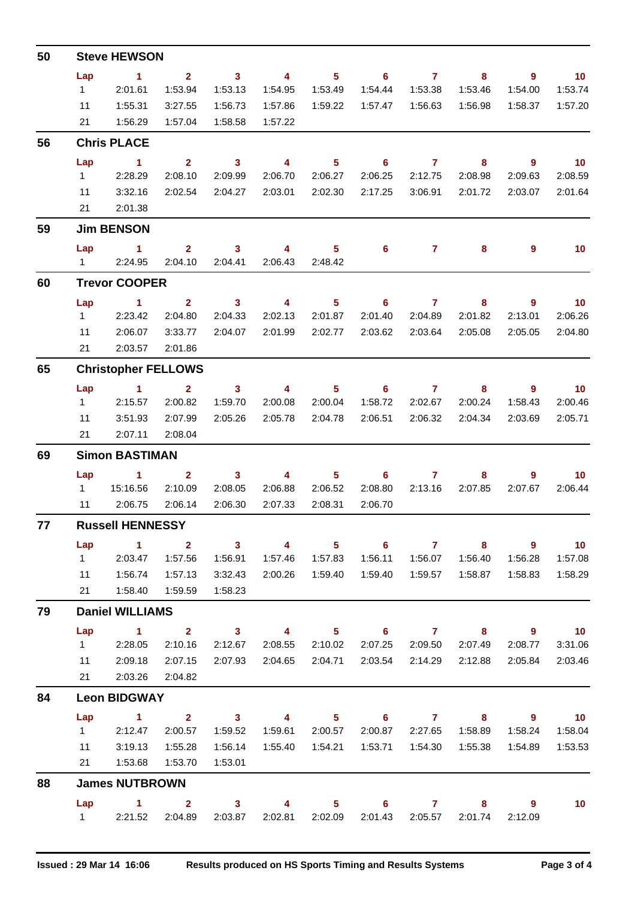| 50 | <b>Steve HEWSON</b>                                |                                 |                           |                         |                                         |                            |                                       |                                                                                                                                                                                                                                                                                                                                    |                           |                            |                             |
|----|----------------------------------------------------|---------------------------------|---------------------------|-------------------------|-----------------------------------------|----------------------------|---------------------------------------|------------------------------------------------------------------------------------------------------------------------------------------------------------------------------------------------------------------------------------------------------------------------------------------------------------------------------------|---------------------------|----------------------------|-----------------------------|
|    | Lap                                                | $\sim$ 1                        | $\overline{2}$            | $\overline{\mathbf{3}}$ | $\overline{4}$                          | 5 <sub>1</sub>             | $\overline{\phantom{0}}$ 6            | $\overline{7}$                                                                                                                                                                                                                                                                                                                     | 8                         | $\overline{9}$             | $\overline{10}$             |
|    | $1 \quad$                                          | 2:01.61                         | 1:53.94                   | 1:53.13                 | 1:54.95                                 | 1:53.49                    | 1:54.44                               | 1:53.38                                                                                                                                                                                                                                                                                                                            | 1:53.46                   | 1:54.00                    | 1:53.74                     |
|    | 11                                                 | 1:55.31                         | 3:27.55                   | 1:56.73                 | 1:57.86                                 | 1:59.22                    | 1:57.47                               | 1:56.63                                                                                                                                                                                                                                                                                                                            | 1:56.98                   | 1:58.37                    | 1:57.20                     |
|    | 21                                                 | 1:56.29                         | 1:57.04                   | 1:58.58                 | 1:57.22                                 |                            |                                       |                                                                                                                                                                                                                                                                                                                                    |                           |                            |                             |
| 56 | <b>Chris PLACE</b>                                 |                                 |                           |                         |                                         |                            |                                       |                                                                                                                                                                                                                                                                                                                                    |                           |                            |                             |
|    | Lap                                                | $\sim$ 1                        | 2 <sup>1</sup>            | $\overline{\mathbf{3}}$ | $\overline{\phantom{a}}$                | 5 <sub>5</sub>             | $\overline{\phantom{a}}$ 6            | $\overline{7}$                                                                                                                                                                                                                                                                                                                     | 8                         | $9^{\circ}$                | $\overline{10}$             |
|    | $1 \quad$                                          | 2:28.29                         | 2:08.10                   | 2:09.99                 | 2:06.70                                 | 2:06.27                    | 2:06.25                               | 2:12.75                                                                                                                                                                                                                                                                                                                            | 2:08.98                   | 2:09.63                    | 2:08.59                     |
|    | 11                                                 | 3:32.16                         | 2:02.54                   | 2:04.27                 | 2:03.01                                 | 2:02.30                    | 2:17.25                               | 3:06.91                                                                                                                                                                                                                                                                                                                            | 2:01.72                   | 2:03.07                    | 2:01.64                     |
|    |                                                    | 21<br>2:01.38                   |                           |                         |                                         |                            |                                       |                                                                                                                                                                                                                                                                                                                                    |                           |                            |                             |
| 59 | <b>Jim BENSON</b>                                  |                                 |                           |                         |                                         |                            |                                       |                                                                                                                                                                                                                                                                                                                                    |                           |                            |                             |
|    | Lap                                                | $\sim$ 1                        | $2^{\circ}$               | $\mathbf{3}$            | 4                                       | 5 <sup>1</sup>             | $6^{\circ}$                           | $\mathbf{7}$                                                                                                                                                                                                                                                                                                                       | 8                         | 9                          | 10 <sub>1</sub>             |
| 60 | 1 2:24.95<br>2:04.10 2:04.41<br>2:06.43<br>2:48.42 |                                 |                           |                         |                                         |                            |                                       |                                                                                                                                                                                                                                                                                                                                    |                           |                            |                             |
|    |                                                    | <b>Trevor COOPER</b>            |                           |                         |                                         |                            |                                       |                                                                                                                                                                                                                                                                                                                                    |                           |                            |                             |
|    | Lap<br>$1 \quad$                                   | $\sim$ $\sim$ 1<br>2:23.42      | $2^{\circ}$<br>2:04.80    | $\sim$ 3<br>2:04.33     | $\overline{4}$<br>2:02.13               | 5 <sup>1</sup><br>2:01.87  | $\overline{\phantom{0}}$ 6<br>2:01.40 | $\overline{7}$<br>2:04.89                                                                                                                                                                                                                                                                                                          | 8<br>2:01.82              | 9<br>2:13.01               | 10<br>2:06.26               |
|    | 11                                                 | 2:06.07                         | 3:33.77                   | 2:04.07                 | 2:01.99                                 | 2:02.77                    | 2:03.62                               | 2:03.64                                                                                                                                                                                                                                                                                                                            | 2:05.08                   | 2:05.05                    | 2:04.80                     |
|    | 21                                                 | 2:03.57                         | 2:01.86                   |                         |                                         |                            |                                       |                                                                                                                                                                                                                                                                                                                                    |                           |                            |                             |
| 65 | <b>Christopher FELLOWS</b>                         |                                 |                           |                         |                                         |                            |                                       |                                                                                                                                                                                                                                                                                                                                    |                           |                            |                             |
|    |                                                    |                                 |                           |                         |                                         |                            |                                       |                                                                                                                                                                                                                                                                                                                                    |                           |                            | $\overline{\mathbf{10}}$    |
|    | Lap<br>$1 \quad$                                   | $\blacktriangleleft$<br>2:15.57 | $\overline{2}$<br>2:00.82 | $\mathbf{3}$<br>1:59.70 | $\overline{4}$<br>2:00.08               | 5 <sup>1</sup><br>2:00.04  | 6<br>1:58.72                          | $\mathbf{7}$<br>2:02.67                                                                                                                                                                                                                                                                                                            | 8<br>2:00.24              | 9<br>1:58.43               | 2:00.46                     |
|    | 11                                                 | 3:51.93                         | 2:07.99                   | 2:05.26                 | 2:05.78                                 | 2:04.78                    | 2:06.51                               | 2:06.32                                                                                                                                                                                                                                                                                                                            | 2:04.34                   | 2:03.69                    | 2:05.71                     |
|    | 21                                                 | 2:07.11                         | 2:08.04                   |                         |                                         |                            |                                       |                                                                                                                                                                                                                                                                                                                                    |                           |                            |                             |
| 69 | <b>Simon BASTIMAN</b>                              |                                 |                           |                         |                                         |                            |                                       |                                                                                                                                                                                                                                                                                                                                    |                           |                            |                             |
|    | Lap                                                | $\sim$ 1                        | $\mathbf{2}$              | 3 <sup>1</sup>          | $\overline{4}$                          | 5 <sub>1</sub>             | 6                                     | $\mathbf{7}$                                                                                                                                                                                                                                                                                                                       | 8                         | 9                          | 10                          |
|    | $1 \quad$                                          | 15:16.56                        | 2:10.09                   | 2:08.05                 | 2:06.88                                 | 2:06.52                    | 2:08.80                               | 2:13.16                                                                                                                                                                                                                                                                                                                            | 2:07.85                   | 2:07.67                    | 2:06.44                     |
|    |                                                    | 11 2:06.75                      | 2:06.14                   | 2:06.30                 | 2:07.33                                 | 2:08.31                    | 2:06.70                               |                                                                                                                                                                                                                                                                                                                                    |                           |                            |                             |
| 77 | <b>Russell HENNESSY</b>                            |                                 |                           |                         |                                         |                            |                                       |                                                                                                                                                                                                                                                                                                                                    |                           |                            |                             |
|    | Lap                                                | $\sim$ 1                        | $\overline{\mathbf{2}}$   | $\overline{\mathbf{3}}$ | $\overline{\mathbf{4}}$                 | $\overline{\phantom{0}}$ 5 | $\overline{\phantom{0}}$ 6            | $\overline{7}$                                                                                                                                                                                                                                                                                                                     | $\overline{\mathbf{8}}$   | $\overline{\phantom{a}}$ 9 | $\overline{10}$             |
|    | $1 \quad$                                          | 2:03.47                         | 1:57.56                   | 1:56.91                 | 1:57.46                                 | 1:57.83                    | 1:56.11                               | 1:56.07                                                                                                                                                                                                                                                                                                                            | 1:56.40                   | 1:56.28                    | 1:57.08                     |
|    | 11                                                 | 1:56.74                         | 1:57.13                   | 3:32.43                 |                                         | 2:00.26 1:59.40            | 1:59.40                               | 1:59.57                                                                                                                                                                                                                                                                                                                            | 1:58.87                   | 1:58.83                    | 1:58.29                     |
|    | 21                                                 | 1:58.40                         | 1:59.59                   | 1:58.23                 |                                         |                            |                                       |                                                                                                                                                                                                                                                                                                                                    |                           |                            |                             |
| 79 | <b>Daniel WILLIAMS</b>                             |                                 |                           |                         |                                         |                            |                                       |                                                                                                                                                                                                                                                                                                                                    |                           |                            |                             |
|    | Lap                                                | $\overline{1}$ $\overline{2}$   |                           | $\overline{\mathbf{3}}$ | $\sim$ 4                                |                            | 5 6 7 8                               |                                                                                                                                                                                                                                                                                                                                    |                           | - 9                        | $\blacksquare$ 10           |
|    |                                                    | 12:28.05                        | 2:10.16                   | 2:12.67                 | 2:08.55                                 | 2:10.02                    |                                       | 2:07.25 2:09.50                                                                                                                                                                                                                                                                                                                    | 2:07.49                   | 2:08.77                    | 3:31.06                     |
|    |                                                    | 11 2:09.18                      | 2:07.15                   | 2:07.93                 | 2:04.65 2:04.71 2:03.54 2:14.29 2:12.88 |                            |                                       |                                                                                                                                                                                                                                                                                                                                    |                           | 2:05.84                    | 2:03.46                     |
|    | 21                                                 | 2:03.26                         | 2:04.82                   |                         |                                         |                            |                                       |                                                                                                                                                                                                                                                                                                                                    |                           |                            |                             |
| 84 | <b>Leon BIDGWAY</b>                                |                                 |                           |                         |                                         |                            |                                       |                                                                                                                                                                                                                                                                                                                                    |                           |                            |                             |
|    | Lap                                                | $\sim$ $\sim$ 1                 | $\overline{\mathbf{2}}$   | $\sim$ 3                | $\overline{4}$                          | $\overline{\phantom{1}}$ 5 |                                       | $6\qquad 7$                                                                                                                                                                                                                                                                                                                        | 8                         | $\overline{\phantom{a}}$   | $\overline{\phantom{0}}$ 10 |
|    |                                                    | 12:12.47                        | 2:00.57                   | 1:59.52                 |                                         | 1:59.61  2:00.57           |                                       |                                                                                                                                                                                                                                                                                                                                    | 2:00.87  2:27.65  1:58.89 | 1:58.24                    | 1:58.04                     |
|    | 11                                                 | 3:19.13                         | 1:55.28                   | 1:56.14                 |                                         |                            |                                       |                                                                                                                                                                                                                                                                                                                                    | 1:55.38                   | 1:54.89                    | 1:53.53                     |
|    | 21                                                 | 1:53.68                         | 1:53.70                   | 1:53.01                 |                                         |                            |                                       |                                                                                                                                                                                                                                                                                                                                    |                           |                            |                             |
| 88 | <b>James NUTBROWN</b>                              |                                 |                           |                         |                                         |                            |                                       |                                                                                                                                                                                                                                                                                                                                    |                           |                            |                             |
|    |                                                    | $Lap$ 1 2                       |                           | $\overline{\mathbf{3}}$ | $\sim$ 4                                | $5 -$                      | $\overline{\phantom{a}}$ 6            | $\overline{7}$ and $\overline{7}$ and $\overline{7}$ and $\overline{7}$ and $\overline{7}$ and $\overline{7}$ and $\overline{7}$ and $\overline{7}$ and $\overline{7}$ and $\overline{7}$ and $\overline{7}$ and $\overline{7}$ and $\overline{7}$ and $\overline{7}$ and $\overline{7}$ and $\overline{7}$ and $\overline{7}$ and | 8                         | 9                          | 10                          |
|    |                                                    | 1 2:21.52 2:04.89               |                           |                         | 2:03.87  2:02.81  2:02.09               |                            |                                       | 2:01.43 2:05.57                                                                                                                                                                                                                                                                                                                    | 2:01.74                   | 2:12.09                    |                             |